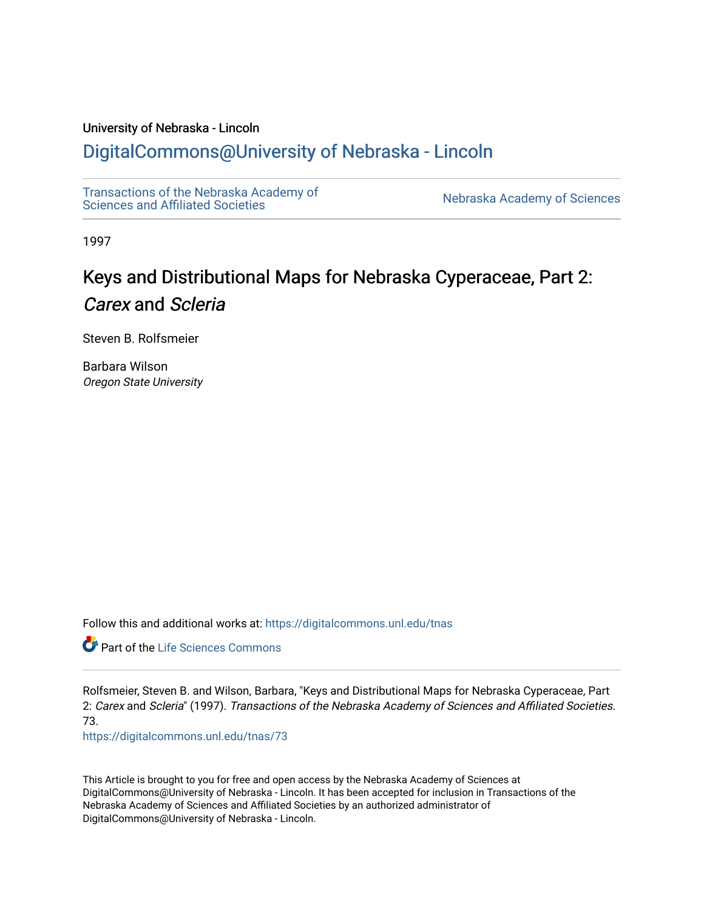### University of Nebraska - Lincoln

## [DigitalCommons@University of Nebraska - Lincoln](https://digitalcommons.unl.edu/)

[Transactions of the Nebraska Academy of](https://digitalcommons.unl.edu/tnas)  Transactions of the Nebraska Academy of Sciences<br>Sciences and Affiliated Societies

1997

# Keys and Distributional Maps for Nebraska Cyperaceae, Part 2: Carex and Scleria

Steven B. Rolfsmeier

Barbara Wilson Oregon State University

Follow this and additional works at: [https://digitalcommons.unl.edu/tnas](https://digitalcommons.unl.edu/tnas?utm_source=digitalcommons.unl.edu%2Ftnas%2F73&utm_medium=PDF&utm_campaign=PDFCoverPages) 

Part of the [Life Sciences Commons](http://network.bepress.com/hgg/discipline/1016?utm_source=digitalcommons.unl.edu%2Ftnas%2F73&utm_medium=PDF&utm_campaign=PDFCoverPages) 

Rolfsmeier, Steven B. and Wilson, Barbara, "Keys and Distributional Maps for Nebraska Cyperaceae, Part 2: Carex and Scleria" (1997). Transactions of the Nebraska Academy of Sciences and Affiliated Societies. 73.

[https://digitalcommons.unl.edu/tnas/73](https://digitalcommons.unl.edu/tnas/73?utm_source=digitalcommons.unl.edu%2Ftnas%2F73&utm_medium=PDF&utm_campaign=PDFCoverPages)

This Article is brought to you for free and open access by the Nebraska Academy of Sciences at DigitalCommons@University of Nebraska - Lincoln. It has been accepted for inclusion in Transactions of the Nebraska Academy of Sciences and Affiliated Societies by an authorized administrator of DigitalCommons@University of Nebraska - Lincoln.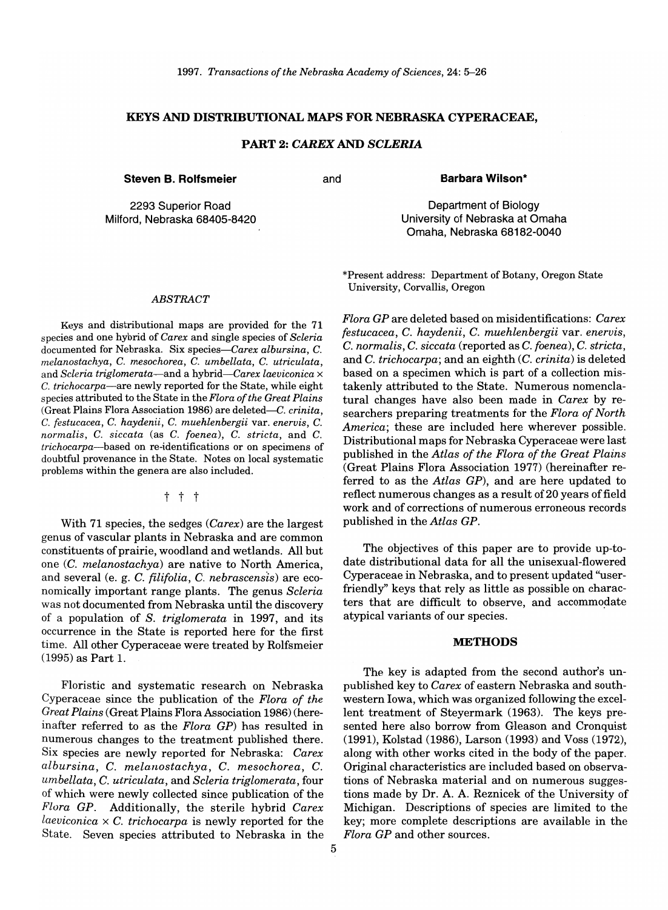### KEYS AND DISTRIBUTIONAL MAPS FOR NEBRASKA CYPERACEAE,

### PART 2: *CAREX* AND *SCLERIA*

Steven B. Rolfsmeier and

Barbara Wilson\*

Department of Biology University of Nebraska at Omaha Omaha, Nebraska 68182-0040

2293 Superior Road Milford, Nebraska 68405-8420

#### *ABSTRACT*

Keys and distributional maps are provided for the 71 species and one hybrid of *Carex* and single species of *Scleria*  documented for Nebraska. Six *species-Carex albursina,* C. *melanostachya,* C. *mesochorea,* C. *umbellata,* C. *utriculata,*  and *Scleria triglomerata-and* a *hybrid-Carex laeviconica* x c. *trichocarpa-are* newly reported for the State, while eight species attributed to the State in the *Flora of the Great Plains*  (Great Plains Flora Association 1986) are deleted-C. *crinita,*  C. *festucacea,* C. *haydenii,* C. *muehlenbergii* var. *enervis,* C. *normalis,* C. *siccata* (as C. *foenea),* C. *stricta,* and C. *trichocarpa-based* on re-identifications or on specimens of doubtful provenance in the State. Notes on local systematic problems within the genera are also included.

t t t

With 71 species, the sedges *(Carex)* are the largest genus of vascular plants in Nebraska and are common constituents of prairie, woodland and wetlands. All but one *(C. melanostachya)* are native to North America, and several (e. g. C. *filifolia,* C. *nebrascensls)* are economically important range plants. The genus *Scleria*  was not documented from Nebraska until the discovery of a population of *S. triglomerata* in 1997, and its occurrence in the State is reported here for the first time. All other Cyperaceae were treated by Rolfsmeier (1995) as Part 1.

Floristic and systematic research on Nebraska Cyperaceae since the publication of the *Flora of the Great Plains* (Great Plains Flora Association 1986) (hereinafter referred to as the *Flora GP)* has resulted in numerous changes to the treatment published there. Six species are newly reported for Nebraska: *Carex albursina,* C. *melanostachya,* C. *mesochorea,* C. *umbellata,* C. *utriculata,* and *Scleria triglomerata,* four of which were newly collected since publication of the *Flora GP.* Additionally, the sterile hybrid *Carex laeviconica* x C. *trichocarpa* is newly reported for the State. Seven species attributed to Nebraska in the

\*Present address: Department of Botany, Oregon State University, Corvallis, Oregon

*Flora GP* are deleted based on misidentifications: *Carex festucacea,* C. *haydenii,* C. *muehlenbergii* var. *enervis,*  C. *normalis,* C. *siccata* (reported as C. *foenea),* C. *stricta,*  and C. *trichocarpa;* and an eighth *(C. crinita)* is deleted based on a specimen which is part of a collection mistakenly attributed to the State. Numerous nomenclatural changes have also been made in *Carex* by researchers preparing treatments for the *Flora of North America;* these are included here wherever possible. Distributional maps for Nebraska Cyperaceae were last published in the *Atlas of the Flora of the Great Plains*  (Great Plains Flora Association 1977) (hereinafter referred to as the *Atlas GP),* and are here updated to reflect numerous changes as a result of 20 years of field work and of corrections of numerous erroneous records published in the *Atlas GP.* 

The objectives of this paper are to provide up-todate distributional data for all the unisexual-flowered Cyperaceae in Nebraska, and to present updated "userfriendly" keys that rely as little as possible on characters that are difficult to observe, and accommodate atypical variants of our species.

#### METHODS

The key is adapted from the second author's unpublished key to *Carex* of eastern Nebraska and southwestern Iowa, which was organized following the excellent treatment of Steyermark (1963). The keys presented here also borrow from Gleason and Cronquist (1991), Kolstad (1986), Larson (1993) and Voss (1972), along with other works cited in the body of the paper. Original characteristics are included based on observations of Nebraska material and on numerous suggestions made by Dr. A. A. Reznicek of the University of Michigan. Descriptions of species are limited to the key; more complete descriptions are available in the *Flora GP* and other sources.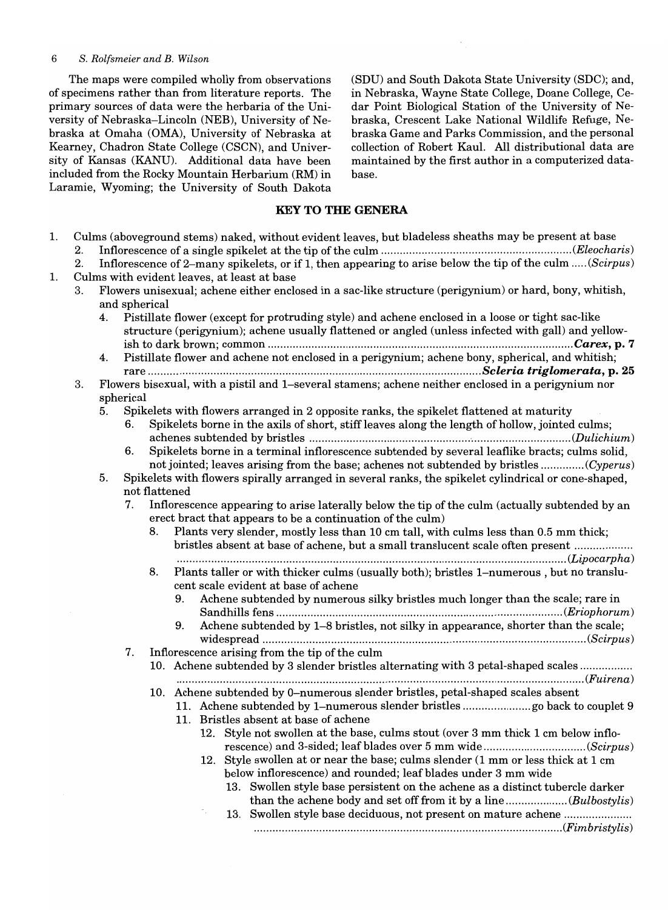The maps were compiled wholly from observations of specimens rather than from literature reports. The primary sources of data were the herbaria of the University of Nebraska-Lincoln (NEB), University of Nebraska at Omaha (OMA), University of Nebraska at Kearney, Chadron State College (CSCN), and University of Kansas (KANU). Additional data have been included from the Rocky Mountain Herbarium (RM) in Laramie, Wyoming; the University of South Dakota (SDU) and South Dakota State University (SDC); and, in Nebraska, Wayne State College, Doane College, Cedar Point Biological Station of the University of Nebraska, Crescent Lake National Wildlife Refuge, Nebraska Game and Parks Commission, and the personal collection of Robert Kaul. All distributional data are maintained by the first author in a computerized database.

### **KEY TO THE GENERA**

| 1. |    |                                                                                                                         | Culms (aboveground stems) naked, without evident leaves, but bladeless sheaths may be present at base    |  |  |  |  |
|----|----|-------------------------------------------------------------------------------------------------------------------------|----------------------------------------------------------------------------------------------------------|--|--|--|--|
|    | 2. |                                                                                                                         |                                                                                                          |  |  |  |  |
|    | 2. |                                                                                                                         | Inflorescence of 2-many spikelets, or if 1, then appearing to arise below the tip of the culm  (Scirpus) |  |  |  |  |
| 1. |    | Culms with evident leaves, at least at base                                                                             |                                                                                                          |  |  |  |  |
|    | 3. | Flowers unisexual; achene either enclosed in a sac-like structure (perigynium) or hard, bony, whitish,<br>and spherical |                                                                                                          |  |  |  |  |
|    |    |                                                                                                                         | 4. Pistillate flower (except for protruding style) and achene enclosed in a loose or tight sac-like      |  |  |  |  |
|    |    |                                                                                                                         | structure (perigynium); achene usually flattened or angled (unless infected with gall) and yellow-       |  |  |  |  |
|    |    |                                                                                                                         |                                                                                                          |  |  |  |  |
|    |    | 4.                                                                                                                      | Pistillate flower and achene not enclosed in a perigynium; achene bony, spherical, and whitish;          |  |  |  |  |
|    |    |                                                                                                                         |                                                                                                          |  |  |  |  |
|    | 3. |                                                                                                                         | Flowers bisexual, with a pistil and 1-several stamens; achene neither enclosed in a perigynium nor       |  |  |  |  |
|    |    |                                                                                                                         | spherical                                                                                                |  |  |  |  |
|    |    | 5.                                                                                                                      | Spikelets with flowers arranged in 2 opposite ranks, the spikelet flattened at maturity                  |  |  |  |  |
|    |    |                                                                                                                         | Spikelets borne in the axils of short, stiff leaves along the length of hollow, jointed culms;<br>6.     |  |  |  |  |
|    |    |                                                                                                                         | 6.<br>Spikelets borne in a terminal inflorescence subtended by several leaflike bracts; culms solid,     |  |  |  |  |
|    |    |                                                                                                                         | not jointed; leaves arising from the base; achenes not subtended by bristles (Cyperus)                   |  |  |  |  |
|    |    | 5.                                                                                                                      | Spikelets with flowers spirally arranged in several ranks, the spikelet cylindrical or cone-shaped,      |  |  |  |  |
|    |    |                                                                                                                         | not flattened                                                                                            |  |  |  |  |
|    |    |                                                                                                                         | 7.<br>Inflorescence appearing to arise laterally below the tip of the culm (actually subtended by an     |  |  |  |  |
|    |    |                                                                                                                         | erect bract that appears to be a continuation of the culm)                                               |  |  |  |  |
|    |    |                                                                                                                         | Plants very slender, mostly less than 10 cm tall, with culms less than 0.5 mm thick;<br>8.               |  |  |  |  |
|    |    |                                                                                                                         | bristles absent at base of achene, but a small translucent scale often present                           |  |  |  |  |
|    |    |                                                                                                                         |                                                                                                          |  |  |  |  |
|    |    |                                                                                                                         | 8.<br>Plants taller or with thicker culms (usually both); bristles 1-numerous, but no translu-           |  |  |  |  |
|    |    |                                                                                                                         | cent scale evident at base of achene                                                                     |  |  |  |  |
|    |    |                                                                                                                         | Achene subtended by numerous silky bristles much longer than the scale; rare in<br>9.                    |  |  |  |  |
|    |    |                                                                                                                         |                                                                                                          |  |  |  |  |
|    |    |                                                                                                                         | Achene subtended by 1–8 bristles, not silky in appearance, shorter than the scale;<br>9.                 |  |  |  |  |
|    |    |                                                                                                                         |                                                                                                          |  |  |  |  |
|    |    |                                                                                                                         | 7.<br>Inflorescence arising from the tip of the culm                                                     |  |  |  |  |
|    |    |                                                                                                                         | 10. Achene subtended by 3 slender bristles alternating with 3 petal-shaped scales                        |  |  |  |  |
|    |    |                                                                                                                         |                                                                                                          |  |  |  |  |
|    |    |                                                                                                                         | 10. Achene subtended by 0-numerous slender bristles, petal-shaped scales absent                          |  |  |  |  |
|    |    |                                                                                                                         |                                                                                                          |  |  |  |  |
|    |    |                                                                                                                         | 11. Bristles absent at base of achene                                                                    |  |  |  |  |
|    |    |                                                                                                                         | 12. Style not swollen at the base, culms stout (over 3 mm thick 1 cm below inflo-                        |  |  |  |  |
|    |    |                                                                                                                         |                                                                                                          |  |  |  |  |
|    |    |                                                                                                                         | Style swollen at or near the base; culms slender (1 mm or less thick at 1 cm<br>12.                      |  |  |  |  |
|    |    |                                                                                                                         | below inflorescence) and rounded; leaf blades under 3 mm wide                                            |  |  |  |  |
|    |    |                                                                                                                         | 13. Swollen style base persistent on the achene as a distinct tubercle darker                            |  |  |  |  |
|    |    |                                                                                                                         | than the achene body and set off from it by a line(Bulbostylis)                                          |  |  |  |  |
|    |    |                                                                                                                         |                                                                                                          |  |  |  |  |
|    |    |                                                                                                                         |                                                                                                          |  |  |  |  |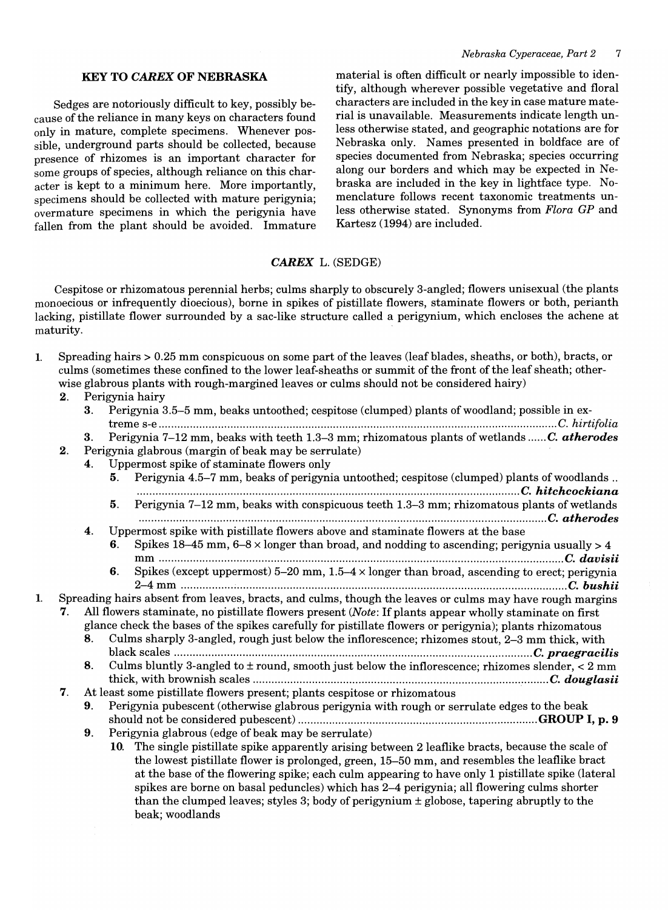### KEY TO CAREX OF NEBRASKA

Sedges are notoriously difficult to key, possibly because of the reliance in many keys on characters found only in mature, complete specimens. Whenever possible, underground parts should be collected, because presence of rhizomes is an important character for some groups of species, although reliance on this character is kept to a minimum here. More importantly, specimens should be collected with mature perigynia; overmature specimens in which the perigynia have fallen from the plant should be avoided. Immature material is often difficult or nearly impossible to identify, although wherever possible vegetative and floral characters are included in the key in case mature material is unavailable. Measurements indicate length unless otherwise stated, and geographic notations are for Nebraska only. Names presented in boldface are of species documented from Nebraska; species occurring along our borders and which may be expected in Nebraska are included in the key in lightface type. Nomenclature follows recent taxonomic treatments unless otherwise stated. Synonyms from *Flora GP* and Kartesz (1994) are included.

### CAREX L. (SEDGE)

Cespitose or rhizomatous perennial herbs; culms sharply to obscurely 3-angled; flowers unisexual (the plants monoecious or infrequently dioecious), borne in spikes of pistillate flowers, staminate flowers or both, perianth lacking, pistillate flower surrounded by a sac-like structure called a perigynium, which encloses the achene at maturity.

| Spreading hairs $> 0.25$ mm conspicuous on some part of the leaves (leaf blades, sheaths, or both), bracts, or |
|----------------------------------------------------------------------------------------------------------------|
| culms (sometimes these confined to the lower leaf-sheaths or summit of the front of the leaf sheath; other-    |
| wise glabrous plants with rough-margined leaves or culms should not be considered hairy)                       |

### 2. Perigynia hairy

- 3. Perigynia 3.5-5 mm, beaks untoothed; cespitose (clumped) plants of woodland; possible in extreme s-e ................................................................................................................................ c. *hirtifolia*  3. Perigynia 7-12 mm, beaks with teeth 1.3-3 mm; rhizomatous plants of wetlands *...... C. atherodes*
- 2. Perigynia glabrous (margin of beak may be serrulate)
	- 4. Uppermost spike of staminate flowers only

|                                                                                                      |    |                                                                                                        |     | Coppermost spine of stammate flowers only                                                                |  |  |  |
|------------------------------------------------------------------------------------------------------|----|--------------------------------------------------------------------------------------------------------|-----|----------------------------------------------------------------------------------------------------------|--|--|--|
|                                                                                                      |    |                                                                                                        | 5.  | Perigynia 4.5–7 mm, beaks of perigynia untoothed; cespitose (clumped) plants of woodlands                |  |  |  |
|                                                                                                      |    |                                                                                                        | 5.  | Perigynia 7–12 mm, beaks with conspicuous teeth 1.3–3 mm; rhizomatous plants of wetlands                 |  |  |  |
|                                                                                                      |    | $\mathbf{4}$ .                                                                                         |     | Uppermost spike with pistillate flowers above and staminate flowers at the base                          |  |  |  |
|                                                                                                      |    |                                                                                                        | 6.  | Spikes 18-45 mm, $6-8 \times$ longer than broad, and nodding to ascending; perigynia usually > 4         |  |  |  |
|                                                                                                      |    |                                                                                                        |     |                                                                                                          |  |  |  |
|                                                                                                      |    |                                                                                                        | 6.  | Spikes (except uppermost) 5-20 mm, $1.5-4 \times$ longer than broad, ascending to erect; perigynia       |  |  |  |
|                                                                                                      |    |                                                                                                        |     |                                                                                                          |  |  |  |
|                                                                                                      |    |                                                                                                        |     | Spreading hairs absent from leaves, bracts, and culms, though the leaves or culms may have rough margins |  |  |  |
|                                                                                                      | 7. |                                                                                                        |     |                                                                                                          |  |  |  |
|                                                                                                      |    | All flowers staminate, no pistillate flowers present (Note: If plants appear wholly staminate on first |     |                                                                                                          |  |  |  |
|                                                                                                      |    |                                                                                                        |     | glance check the bases of the spikes carefully for pistillate flowers or perigynia); plants rhizomatous  |  |  |  |
| Culms sharply 3-angled, rough just below the inflorescence; rhizomes stout, 2–3 mm thick, with<br>8. |    |                                                                                                        |     |                                                                                                          |  |  |  |
|                                                                                                      |    |                                                                                                        |     | C. praegracilis                                                                                          |  |  |  |
|                                                                                                      |    | 8.                                                                                                     |     | Culms bluntly 3-angled to $\pm$ round, smooth just below the inflorescence; rhizomes slender, < 2 mm     |  |  |  |
|                                                                                                      |    |                                                                                                        |     |                                                                                                          |  |  |  |
|                                                                                                      | 7. |                                                                                                        |     | At least some pistillate flowers present; plants cespitose or rhizomatous                                |  |  |  |
|                                                                                                      |    | 9.                                                                                                     |     | Perigynia pubescent (otherwise glabrous perigynia with rough or serrulate edges to the beak              |  |  |  |
|                                                                                                      |    |                                                                                                        |     |                                                                                                          |  |  |  |
|                                                                                                      |    | 9.                                                                                                     |     | Perigynia glabrous (edge of beak may be serrulate)                                                       |  |  |  |
|                                                                                                      |    |                                                                                                        | 10. | The single pistillate spike apparently arising between 2 leaflike bracts, because the scale of           |  |  |  |
|                                                                                                      |    |                                                                                                        |     | the lowest pistillate flower is prolonged, green, 15–50 mm, and resembles the leaflike bract             |  |  |  |
|                                                                                                      |    |                                                                                                        |     | at the base of the flowering spike; each culm appearing to have only 1 pistillate spike (lateral         |  |  |  |

spikes are borne on basal peduncles) which has 2-4 perigynia; all flowering culms shorter than the clumped leaves; styles 3; body of perigynium  $\pm$  globose, tapering abruptly to the beak; woodlands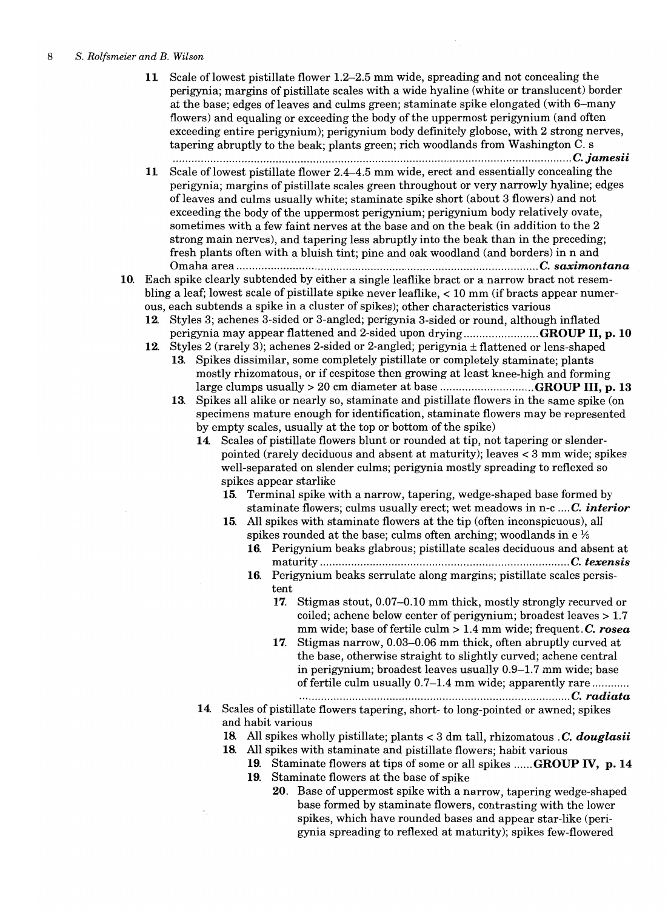11 Scale of lowest pistillate flower 1.2-2.5 mm wide, spreading and not concealing the perigynia; margins of pistillate scales with a wide hyaline (white or translucent) border at the base; edges of leaves and culms green; staminate spike elongated (with 6-many flowers) and equaling or exceeding the body of the uppermost perigynium (and often exceeding entire perigynium); perigynium body definitely globose, with 2 strong nerves, tapering abruptly to the beak; plants green; rich woodlands from Washington C. s ............................................................................................................*.................... C.jamesii* 

- 11 Scale of lowest pistillate flower 2.4-4.5 mm wide, erect and essentially concealing the perigynia; margins of pistillate scales green throughout or very narrowly hyaline; edges of leaves and culms usually white; staminate spike short (about 3 flowers) and not exceeding the body of the uppermost perigynium; perigynium body relatively ovate, sometimes with a few faint nerves at the base and on the beak (in addition to the 2 strong main nerves), and tapering less abruptly into the beak than in the preceding; fresh plants often with a bluish tint; pine and oak woodland (and borders) in nand Omaha area ................................................................................................. C. *saximontana*
- 10. Each spike clearly subtended by either a single leaflike bract or a narrow bract not resembling a leaf; lowest scale of pistillate spike never leaflike, < 10 mm (if bracts appear numerous, each subtends a spike in a cluster of spikes); other characteristics various
	- 12. Styles 3; achenes 3-sided or 3-angled; perigynia 3-sided or round, although inflated perigynia may appear flattened and 2-sided upon drying .......................GROUP II, p. 10
	- 12. Styles 2 (rarely 3); achenes 2-sided or 2-angled; perigynia ± flattened or lens-shaped 13. Spikes dissimilar, some completely pistillate or completely staminate; plants mostly rhizomatous, or if cespitose then growing at least knee-high and forming large clumps usually> 20 cm diameter at base .............................. GROUP III, p. 13
		- 13. Spikes all alike or nearly so, staminate and pistillate flowers in the same spike (on specimens mature enough for identification, staminate flowers may be represented by empty scales, usually at the top or bottom of the spike)
			- 14. Scales of pistillate flowers blunt or rounded at tip, not tapering or slenderpointed (rarely deciduous and absent at maturity); leaves < 3 mm wide; spikes well-separated on slender culms; perigynia mostly spreading to reflexed so spikes appear starlike
				- 15. Terminal spike with a narrow, tapering, wedge-shaped base formed by staminate flowers; culms usually erect; wet meadows in n-c *.... C. interior*
				- 15. All spikes with staminate flowers at the tip (often inconspicuous), all spikes rounded at the base; culms often arching; woodlands in  $e^{i\frac{\pi}{6}}$ 
					- 16. Perigynium beaks glabrous; pistillate scales deciduous and absent at maturity ................................................................................ C. *texensis*
					- 16. Perigynium beaks serrulate along margins; pistillate scales persistent
						- 17. Stigmas stout, 0.07-0.10 mm thick, mostly strongly recurved or coiled; achene below center of perigynium; broadest leaves  $> 1.7$ mm wide; base of fertile culm> 1.4 mm wide; frequent.C. *rosea*
						- 17. Stigmas narrow, 0.03-0.06 mm thick, often abruptly curved at the base, otherwise straight to slightly curved; achene central in perigynium; broadest leaves usually 0.9-1.7 mm wide; base of fertile culm usually 0.7–1.4 mm wide; apparently rare ............ ...................................................... *................................. C. radiata*
			- 14. Scales of pistillate flowers tapering, short- to long-pointed or awned; spikes and habit various
				- 18. All spikes wholly pistillate; plants < 3 dm tall, rhizomatous. C. *douglasii*
				- 18. All spikes with staminate and pistillate flowers; habit various
					- 19. Staminate flowers at tips of some or all spikes ...... GROUP IV, p. 14
					- 19. Staminate flowers at the base of spike
						- 20. Base of uppermost spike with a narrow, tapering wedge-shaped base formed by staminate flowers, contrasting with the lower spikes, which have rounded bases and appear star-like (perigynia spreading to reflexed at maturity); spikes few-flowered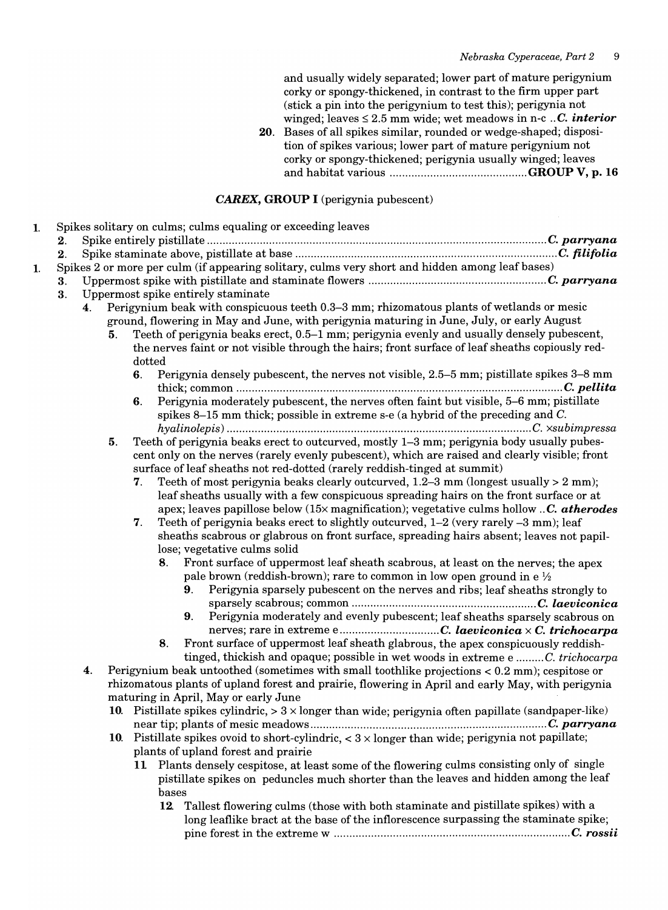and usually widely separated; lower part of mature perigynium corky or spongy-thickened, in contrast to the firm upper part (stick a pin into the perigynium to test this); perigynia not winged; leaves  $\leq 2.5$  mm wide; wet meadows in n-c *.. C. interior* 

20. Bases of all spikes similar, rounded or wedge-shaped; disposition of spikes various; lower part of mature perigynium not corky or spongy-thickened; perigynia usually winged; leaves and habitat various ............................................ GROUP V, p. 16

### CAREX, GROUP I (perigynia pubescent)

| 2. |    |    |        |                                                                                                                      |  |
|----|----|----|--------|----------------------------------------------------------------------------------------------------------------------|--|
| 2. |    |    |        |                                                                                                                      |  |
|    |    |    |        | Spikes 2 or more per culm (if appearing solitary, culms very short and hidden among leaf bases)                      |  |
| 3. |    |    |        |                                                                                                                      |  |
| 3. |    |    |        | Uppermost spike entirely staminate                                                                                   |  |
|    | 4. |    |        | Perigynium beak with conspicuous teeth 0.3–3 mm; rhizomatous plants of wetlands or mesic                             |  |
|    |    |    |        | ground, flowering in May and June, with perigynia maturing in June, July, or early August                            |  |
|    |    | 5. |        | Teeth of perigynia beaks erect, 0.5–1 mm; perigynia evenly and usually densely pubescent,                            |  |
|    |    |    |        | the nerves faint or not visible through the hairs; front surface of leaf sheaths copiously red-                      |  |
|    |    |    | dotted |                                                                                                                      |  |
|    |    |    | 6.     | Perigynia densely pubescent, the nerves not visible, 2.5-5 mm; pistillate spikes 3-8 mm                              |  |
|    |    |    |        |                                                                                                                      |  |
|    |    |    | 6.     | Perigynia moderately pubescent, the nerves often faint but visible, 5-6 mm; pistillate                               |  |
|    |    |    |        | spikes 8–15 mm thick; possible in extreme s-e (a hybrid of the preceding and C.                                      |  |
|    |    |    |        |                                                                                                                      |  |
|    |    | 5. |        | Teeth of perigynia beaks erect to outcurved, mostly 1-3 mm; perigynia body usually pubes-                            |  |
|    |    |    |        | cent only on the nerves (rarely evenly pubescent), which are raised and clearly visible; front                       |  |
|    |    |    |        | surface of leaf sheaths not red-dotted (rarely reddish-tinged at summit)                                             |  |
|    |    |    | 7.     | Teeth of most perigynia beaks clearly outcurved, $1.2-3$ mm (longest usually $> 2$ mm);                              |  |
|    |    |    |        | leaf sheaths usually with a few conspicuous spreading hairs on the front surface or at                               |  |
|    |    |    |        | apex; leaves papillose below $(15\times \text{magnification})$ ; vegetative culms hollow C. atherodes                |  |
|    |    |    | 7.     | Teeth of perigynia beaks erect to slightly outcurved, 1–2 (very rarely –3 mm); leaf                                  |  |
|    |    |    |        | sheaths scabrous or glabrous on front surface, spreading hairs absent; leaves not papil-                             |  |
|    |    |    |        | lose; vegetative culms solid<br>8. Front surface of uppermost leaf sheath scabrous, at least on the nerves; the apex |  |
|    |    |    |        | pale brown (reddish-brown); rare to common in low open ground in $e^{1/2}$                                           |  |
|    |    |    |        | Perigynia sparsely pubescent on the nerves and ribs; leaf sheaths strongly to<br>9.                                  |  |
|    |    |    |        |                                                                                                                      |  |
|    |    |    |        | Perigynia moderately and evenly pubescent; leaf sheaths sparsely scabrous on<br>9.                                   |  |
|    |    |    |        | nerves; rare in extreme eC. laeviconica x C. trichocarpa                                                             |  |
|    |    |    | 8.     | Front surface of uppermost leaf sheath glabrous, the apex conspicuously reddish-                                     |  |
|    |    |    |        | tinged, thickish and opaque; possible in wet woods in extreme e C. trichocarpa                                       |  |
|    | 4. |    |        | Perigynium beak untoothed (sometimes with small toothlike projections < 0.2 mm); cespitose or                        |  |
|    |    |    |        | rhizomatous plants of upland forest and prairie, flowering in April and early May, with perigynia                    |  |
|    |    |    |        | maturing in April, May or early June                                                                                 |  |
|    |    |    |        | 10. Pistillate spikes cylindric, $> 3 \times$ longer than wide; perigynia often papillate (sandpaper-like)           |  |
|    |    |    |        |                                                                                                                      |  |
|    |    |    |        | 10. Pistillate spikes ovoid to short-cylindric, $<$ 3 $\times$ longer than wide; perigynia not papillate;            |  |
|    |    |    |        | plants of upland forest and prairie                                                                                  |  |
|    |    |    |        | 11 Plants densely cespitose, at least some of the flowering culms consisting only of single                          |  |
|    |    |    |        | pistillate spikes on peduncles much shorter than the leaves and hidden among the leaf                                |  |
|    |    |    | bases  |                                                                                                                      |  |
|    |    |    |        | 12 Tallest flowering culms (those with both staminate and pistillate spikes) with a                                  |  |
|    |    |    |        |                                                                                                                      |  |
|    |    |    |        | long leaflike bract at the base of the inflorescence surpassing the staminate spike;                                 |  |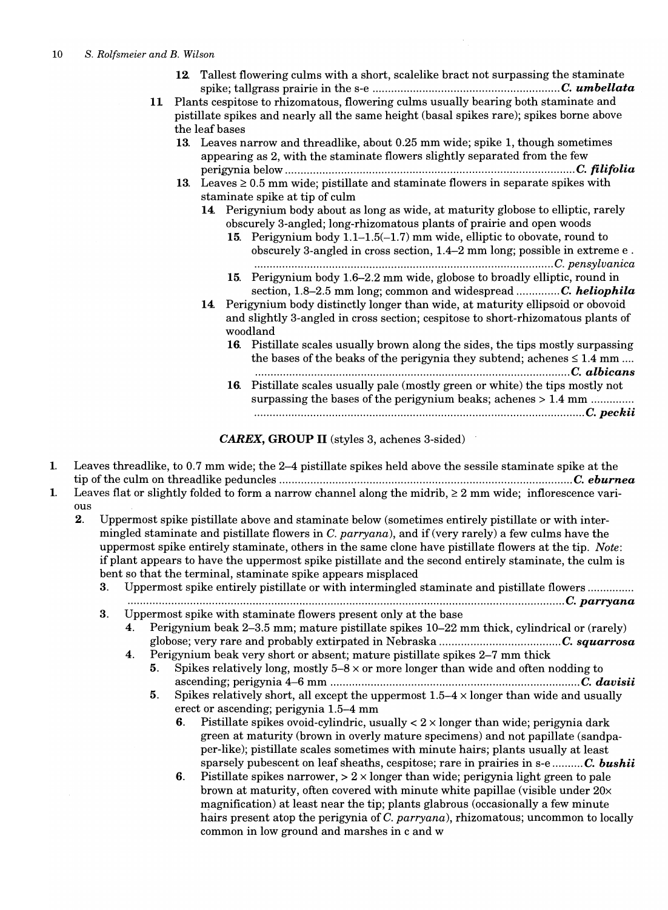- 12. Tallest flowering culms with a short, scalelike bract not surpassing the staminate spike; tallgrass prairie in the s-e ............................................................ C. *umbellata*
- 11 Plants cespitose to rhizomatous, flowering culms usually bearing both staminate and pistillate spikes and nearly all the same height (basal spikes rare); spikes borne above the leaf bases
	- 13. Leaves narrow and threadlike, about 0.25 mm wide; spike 1, though sometimes appearing as 2, with the staminate flowers slightly separated from the few perigynia below ............................................................................................. c. *filifolia*
	- 13. Leaves  $\geq$  0.5 mm wide; pistillate and staminate flowers in separate spikes with staminate spike at tip of culm
		- 14. Perigynium body about as long as wide, at maturity globose to elliptic, rarely obscurely 3-angled; long-rhizomatous plants of prairie and open woods
			- 15. Perigynium body 1.1-1.5(-1.7) mm wide, elliptic to obovate, round to obscurely 3-angled in cross section, 1.4-2 mm long; possible in extreme e . ................................................................................................ C. pensylvanica
			- 15. Perigynium body 1.6-2.2 mm wide, globose to broadly elliptic, round in section, 1.8-2.5 mm long; common and widespread .............. C. *heliophila*
		- 14. Perigynium body distinctly longer than wide, at maturity ellipsoid or obovoid and slightly 3-angled in cross section; cespitose to short-rhizomatous plants of woodland
			- 16. Pistillate scales usually brown along the sides, the tips mostly surpassing the bases of the beaks of the perigynia they subtend; achenes  $\leq 1.4$  mm ....
			- ..................................................................................................... C. *albicans*  16. Pistillate scales usually pale (mostly green or white) the tips mostly not surpassing the bases of the perigynium beaks; achenes > 1.4 mm .............. ......................................................*.................................................... C.peckii*

CAREX, GROUP II (styles 3, achenes 3-sided) .

- 1. Leaves threadlike, to 0.7 mm wide; the 2-4 pistillate spikes held above the sessile staminate spike at the tip of the culm on threadlike peduncles ......................................................*........................................ C. eburnea*
- 1. Leaves flat or slightly folded to form a narrow channel along the midrib,  $\geq 2$  mm wide; inflorescence various
	- 2. Uppermost spike pistillate above and staminate below (sometimes entirely pistillate or with intermingled staminate and pistillate flowers in C. parryana), and if (very rarely) a few culms have the uppermost spike entirely staminate, others in the same clone have pistillate flowers at the tip. *Note:*  if plant appears to have the uppermost spike pistillate and the second entirely staminate, the culm is bent so that the terminal, staminate spike appears misplaced
		- 3. Uppermost spike entirely pistillate or with intermingled staminate and pistillate flowers .............. . .... .................. ............ ............................................................ ......................... ...... ............ ... C. *parryana*

3. Uppermost spike with staminate flowers present only at the base

- 4. Perigynium beak 2-3.5 mm; mature pistillate spikes 10-22 mm thick, cylindrical or (rarely) globose; very rare and probably extirpated in Nebraska ....................................... C. *squarrosa*
- 4. Perigynium beak very short or absent; mature pistillate spikes 2-7 mm thick
	- 5. Spikes relatively long, mostly  $5-8 \times$  or more longer than wide and often nodding to ascending; perigynia 4-6 mm ................................................................................ C. *davisii*
	- 5. Spikes relatively short, all except the uppermost  $1.5-4 \times$  longer than wide and usually erect or ascending; perigynia 1.5-4 mm
		- 6. Pistillate spikes ovoid-cylindric, usually  $< 2 \times$  longer than wide; perigynia dark green at maturity (brown in overly mature specimens) and not papillate (sandpaper-like); pistillate scales sometimes with minute hairs; plants usually at least sparsely pubescent on leaf sheaths, cespitose; rare in prairies in s-e .......... C. *bushii*
		- 6. Pistillate spikes narrower,  $> 2 \times$  longer than wide; perigynia light green to pale brown at maturity, often covered with minute white papillae (visible under 20x magnification) at least near the tip; plants glabrous (occasionally a few minute hairs present atop the perigynia of C. parryana), rhizomatous; uncommon to locally common in low ground and marshes in c and w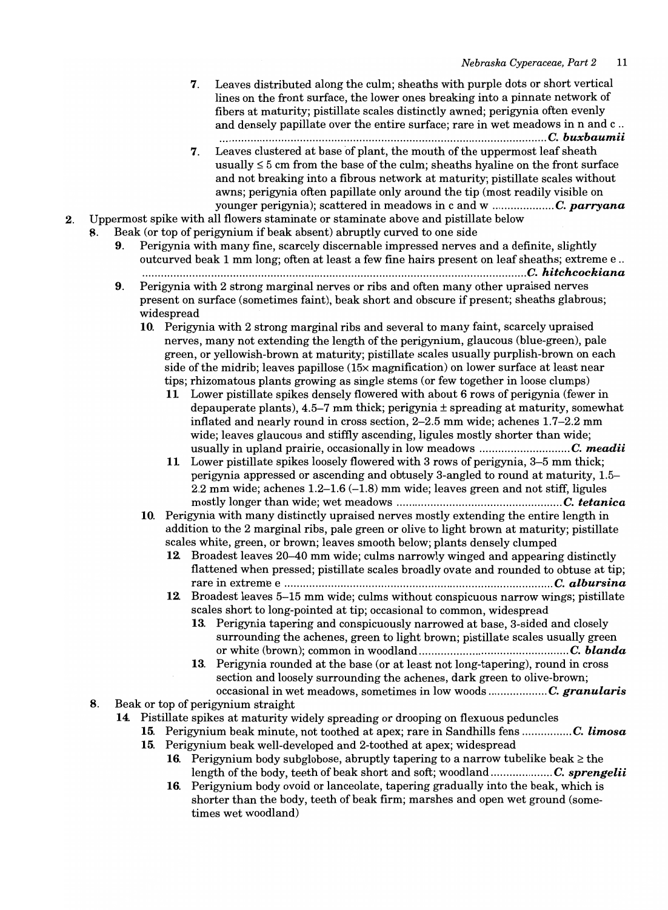- 7. Leaves distributed along the culm; sheaths with purple dots or short vertical lines on the front surface, the lower ones breaking into a pinnate network of fibers at maturity; pistillate scales distinctly awned; perigynia often evenly and densely papillate over the entire surface; rare in wet meadows in nand c .. ............ ..... ...... ....... ..... ........... ...... ............ ............ ....... ...... ..... ..... ... ... C. *buxbaumii*
- 7. Leaves clustered at base of plant, the mouth of the uppermost leaf sheath usually  $\leq$  5 cm from the base of the culm; sheaths hyaline on the front surface and not breaking into a fibrous network at maturity; pistillate scales without awns; perigynia often papillate only around the tip (most readily visible on younger perigynia); scattered in meadows in c and w .................... C. *parryana*
- 2. Uppermost spike with all flowers staminate or staminate above and pistillate below
	- 8. Beak (or top of perigynium if beak absent) abruptly curved to one side
		- 9. Perigynia with many fine, scarcely discemable impressed nerves and a definite, slightly outcurved beak 1 mm long; often at least a few fine hairs present on leaf sheaths; extreme e .. ............ ....... ... .............. .... ...... ..... ....... ......... ............................ ........ .... ........ .... .... C. *hitchcockiana*
		- 9. Perigynia with 2 strong marginal nerves or ribs and often many other upraised nerves present on surface (sometimes faint), beak short and obscure if present; sheaths glabrous; widespread
			- 10. Perigynia with 2 strong marginal ribs and several to many faint, scarcely upraised nerves, many not extending the length of the perigynium, glaucous (blue-green), pale green, or yellowish-brown at maturity; pistillate scales usually purplish-brown on each side of the midrib; leaves papillose (15x magnification) on lower surface at least near tips; rhizomatous plants growing as single stems (or few together in loose clumps)
				- 11 Lower pistillate spikes densely flowered with about 6 rows of perigynia (fewer in depauperate plants), 4.5-7 mm thick; perigynia ± spreading at maturity, somewhat inflated and nearly round in cross section, 2-2.5 mm wide; achenes 1.7-2.2 mm wide; leaves glaucous and stiffly ascending, ligules mostly shorter than wide; usually in upland prairie, occasionally in low meadows ............................. C. *meadii*
				- 11 Lower pistillate spikes loosely flowered with 3 rows of perigynia, 3-5 mm thick; perigynia appressed or ascending and obtusely 3-angled to round at maturity, 1.5- 2.2 mm wide; achenes  $1.2-1.6$   $(-1.8)$  mm wide; leaves green and not stiff, ligules mostly longer than wide; wet meadows ..................................................... C. *tetanica*
			- 10. Perigynia with many distinctly upraised nerves mostly extending the entire length in addition to the 2 marginal ribs, pale green or olive to light brown at maturity; pistillate scales white, green, or brown; leaves smooth below; plants densely clumped
				- 12. Broadest leaves 20-40 mm wide; culms narrowly winged and appearing distinctly flattened when pressed; pistillate scales broadly ovate and rounded to obtuse at tip; rare in extreme e ...................................................................................... C. *alb ursina*
				- 12. Broadest leaves 5-15 mm wide; culms without conspicuous narrow wings; pistillate scales short to long-pointed at tip; occasional to common, widespread
					- 13. Perigynia tapering and conspicuously narrowed at base, 3-sided and closely surrounding the achenes, green to light brown; pistillate scales usually green or white (brown); common in woodland ................................................ C. *blanda*
					- 13. Perigynia rounded at the base (or at least not long-tapering), round in cross section and loosely surrounding the achenes, dark green to olive-brown; occasional in wet meadows, sometimes in low woods ................... C. *granularis*
	- 8. Beak or top of perigynium straight
		- 14. Pistillate spikes at maturity widely spreading or drooping on flexuous peduncles
			- 15. Perigynium beak minute, not toothed at apex; rare in Sandhills fens ................ C. *limosa*
			- 15. Perigynium beak well-developed and 2-toothed at apex; widespread
				- 16. Perigynium body subglobose, abruptly tapering to a narrow tubelike beak  $\geq$  the length ofthe body, teeth of beak short and soft; woodland .................... C. *sprengelii*
				- 16. Perigynium body ovoid or lanceolate, tapering gradually into the beak, which is shorter than the body, teeth of beak firm; marshes and open wet ground (sometimes wet woodland)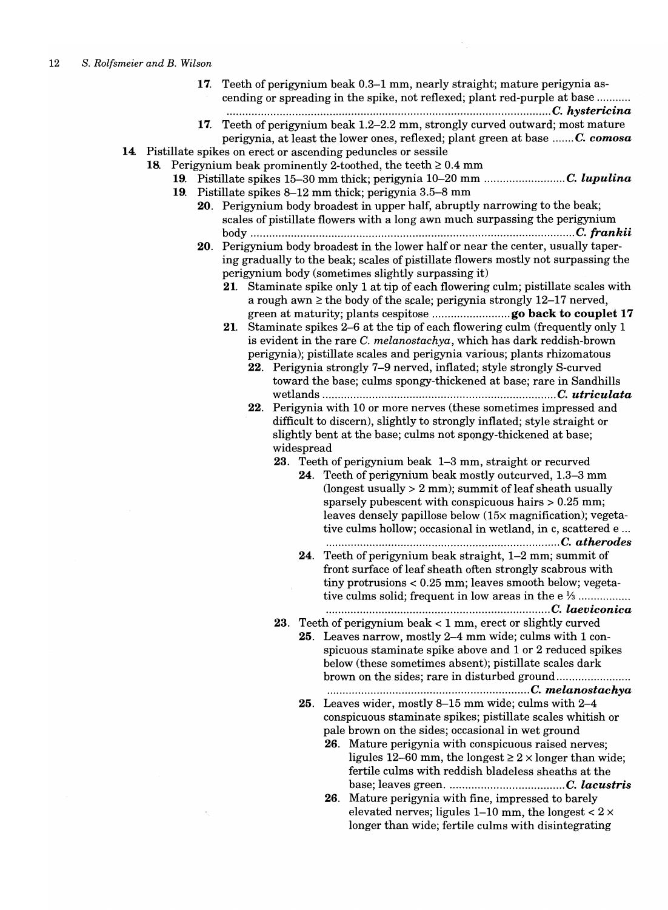17. Teeth of perigynium beak 0.3-1 mm, nearly straight; mature perigynia ascending or spreading in the spike, not reflexed; plant red-purple at base .......... .

........................................................................................................ C. *hysteric ina* 

17. Teeth of perigynium beak 1.2-2.2 mm, strongly curved outward; most mature perigynia, at least the lower ones, reflexed; plant green at base ....... C. *comosa* 

14. Pistillate spikes on erect or ascending peduncles or sessile

- 18. Perigynium beak prominently 2-toothed, the teeth  $\geq 0.4$  mm
	- 19. Pistillate spikes 15-30 mm thick; perigynia 10-20 mm .......................... C. *lupulina*  19. Pistillate spikes 8-12 mm thick; perigynia 3.5-8 mm
		- 20. Perigynium body broadest in upper half, abruptly narrowing to the beak; scales of pistillate flowers with a long awn much surpassing the perigynium body ........................................................................................................ C. *frankii*
		- 20. Perigynium body broadest in the lower half or near the center, usually tapering gradually to the beak; scales of pistillate flowers mostly not surpassing the perigynium body (sometimes slightly surpassing it)
			- 21. Staminate spike only 1 at tip of each flowering culm; pistillate scales with a rough awn  $\geq$  the body of the scale; perigynia strongly 12-17 nerved, green at maturity; plants cespitose ......................... go back to couplet 17
			- 21. Staminate spikes 2-6 at the tip of each flowering culm (frequently only 1 is evident in the rare C. *melanostachya,* which has dark reddish-brown perigynia); pistillate scales and perigynia various; plants rhizomatous
				- 22. Perigynia strongly 7-9 nerved, inflated; style strongly S-curved toward the base; culms spongy-thickened at base; rare in Sandhills wetlands ........................................................................... C. *utriculata*
				- 22. Perigynia with 10 or more nerves (these sometimes impressed and difficult to discern), slightly to strongly inflated; style straight or slightly bent at the base; culms not spongy-thickened at base; widespread
					- 23. Teeth of perigynium beak 1-3 mm, straight or recurved
						- 24. Teeth of perigynium beak mostly outcurved, 1.3-3 mm (longest usually  $> 2$  mm); summit of leaf sheath usually sparsely pubescent with conspicuous hairs  $> 0.25$  mm; leaves densely papillose below *(15x* magnification); vegetative culms hollow; occasional in wetland, in c, scattered e ... ................ ........................ .............................. ..... C. *atherodes*
						- 24. Teeth of perigynium beak straight, 1-2 mm; summit of front surface of leaf sheath often strongly scabrous with tiny protrusions < 0.25 mm; leaves smooth below; vegetative culms solid; frequent in low areas in the  $e^{i/3}$  …  $\dots$

.... .................................................................... C. *laeviconica* 

- **23**. Teeth of perigynium beak  $<$  1 mm, erect or slightly curved 25. Leaves narrow, mostly 2-4 mm wide; culms with 1 con
	- spicuous staminate spike above and 1 or 2 reduced spikes below (these sometimes absent); pistillate scales dark brown on the sides; rare in disturbed ground ....................... .

.............................................. ...... ............. C. *melanostachya* 

- 25. Leaves wider, mostly 8-15 mm wide; culms with 2-4 conspicuous staminate spikes; pistillate scales whitish or pale brown on the sides; occasional in wet ground
	- 26. Mature perigynia with conspicuous raised nerves; ligules 12–60 mm, the longest  $\geq 2 \times$  longer than wide; fertile culms with reddish bladeless sheaths at the base; leaves green ...................................... C. *lacustris*
	- 26. Mature perigynia with fine, impressed to barely elevated nerves; ligules 1-10 mm, the longest  $< 2 \times$ longer than wide; fertile culms with disintegrating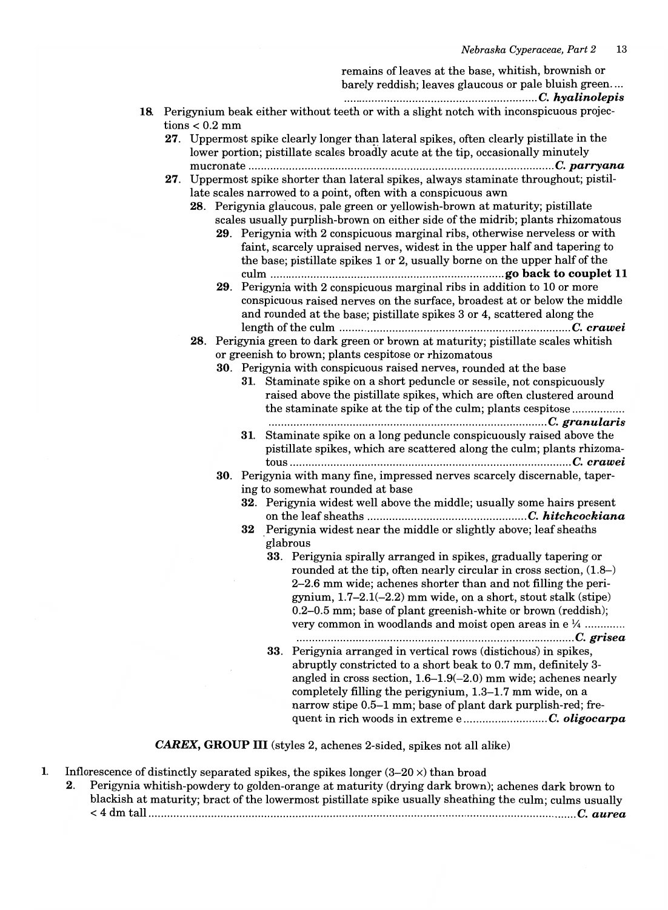remains of leaves at the base, whitish, brownish or

barely reddish; leaves glaucous or pale bluish green.... .............................................................. C. *hyalinolepis* 

- 18. Perigynium beak either without teeth or with a slight notch with inconspicuous projections  $< 0.2$  mm
	- 27. Uppermost spike clearly longer than lateral spikes, often clearly pistillate in the lower portion; pistillate scales broadly acute at the tip, occasionally minutely mucronate .................................................................................................. C. *parryana*
	- 27. Uppermost spike shorter than lateral spikes, always staminate throughout; pistillate scales narrowed to a point, often with a conspicuous awn
		- 28. Perigynia glaucous, pale green or yellowish-brown at maturity; pistillate scales usually purplish-brown on either side of the midrib; plants rhizomatous
			- 29. Perigynia with 2 conspicuous marginal ribs, otherwise nerveless or with faint, scarcely upraised nerves, widest in the upper half and tapering to the base; pistillate spikes 1 or 2, usually borne on the upper half of the culm ........................................................................... go back to couplet **11**
			- 29. Perigynia with 2 conspicuous marginal ribs in addition to 10 or more conspicuous raised nerves on the surface, broadest at or below the middle and rounded at the base; pistillate spikes 3 or 4, scattered along the length of the culm .......................................................................... C. *crawei*
		- 28. Perigynia green to dark green or brown at maturity; pistillate scales whitish or greenish to brown; plants cespitose or rhizomatous
			- 30. Perigynia with conspicuous raised nerves, rounded at the base
				- 31. Staminate spike on a short peduncle or sessile, not conspicuously raised above the pistillate spikes, which are often clustered around the staminate spike at the tip of the culm; plants cespitose ................. ... ......... ....... ...... ..... .... ..... ....... ...... ................ ...... ............... C. *granularis*
				- 31. Staminate spike on a long peduncle conspicuously raised above the pistillate spikes, which are scattered along the culm; plants rhizomatous .......................................................................................... C. *crawei*
			- 30. Perigynia with many fine, impressed nerves scarcely discernable, tapering to somewhat rounded at base
				- 32. Perigynia widest well above the middle; usually some hairs present on the leaf sheaths ................................................... C. *hitchcockiana*
				- 32 Perigynia widest near the middle or slightly above; leaf sheaths glabrous
					- 33. Perigynia spirally arranged in spikes, gradually tapering or rounded at the tip, often nearly circular in cross section, (1.8-) 2-2.6 mm wide; achenes shorter than and not filling the perigynium,  $1.7-2.1(-2.2)$  mm wide, on a short, stout stalk (stipe) 0.2-0.5 mm; base of plant greenish-white or brown (reddish); very common in woodlands and moist open areas in  $e^{i/4}$  ............. ...................................................... *................................... C. grisea*
					- 33. Perigynia arranged in vertical rows (distichous) in spikes, abruptly constricted to a short beak to 0.7 mm, definitely 3 angled in cross section, 1.6-1.9(-2.0) mm wide; achenes nearly completely filling the perigynium, 1.3-1.7 mm wide, on a narrow stipe 0.5-1 mm; base of plant dark purplish-red; frequent in rich woods in extreme e ........................... C. *oligocarpa*

CAREX, GROUP **III** (styles 2, achenes 2-sided, spikes not all alike)

- 1. Inflorescence of distinctly separated spikes, the spikes longer  $(3-20 \times)$  than broad
	- 2. Perigynia whitish-powdery to golden-orange at maturity (drying dark brown); achenes dark brown to blackish at maturity; bract of the lowermost pistillate spike usually sheathing the culm; culms usually < 4 dm tall ......................................................................................................................................... C. *aurea*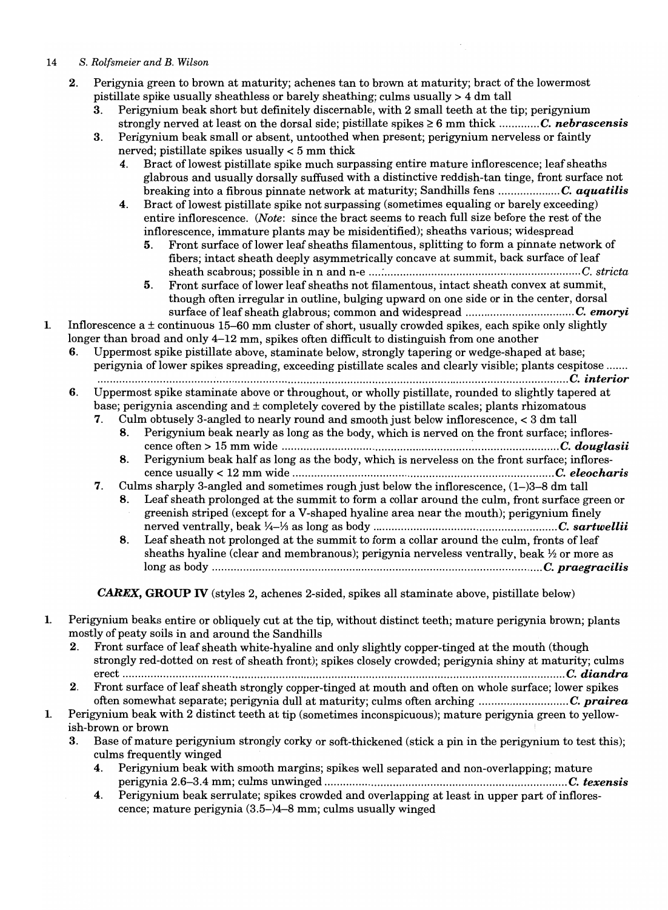- 2. Perigynia green to brown at maturity; achenes tan to brown at maturity; bract of the lowermost pistillate spike usually sheathless or barely sheathing; culms usually> 4 dm tall
	- 3. Perigynium beak short but definitely discemable, with 2 small teeth at the tip; perigynium strongly nerved at least on the dorsal side; pistillate spikes  $\geq 6$  mm thick ............. C. *nebrascensis*
	- 3. Perigynium beak small or absent, untoothed when present; perigynium nerveless or faintly nerved; pistillate spikes usually < 5 mm thick
		- 4. Bract of lowest pistillate spike much surpassing entire mature inflorescence; leaf sheaths glabrous and usually dorsally suffused with a distinctive reddish-tan tinge, front surface not breaking into a fibrous pinnate network at maturity; Sandhills fens .................... C. *aquatilis*
		- 4. Bract of lowest pistillate spike not surpassing (sometimes equaling or barely exceeding) entire inflorescence. *(Note:* since the bract seems to reach full size before the rest of the inflorescence, immature plants may be misidentified); sheaths various; widespread
			- 5. Front surface of lower leaf sheaths filamentous, splitting to form a pinnate network of fibers; intact sheath deeply asymmetrically concave at summit, back surface of leaf sheath scabrous; possible in nand n-e *.... : ............................................................... C. stricta*
			- 5. Front surface of lower leaf sheaths not filamentous, intact sheath convex at summit, though often irregular in outline, bulging upward on one side or in the center, dorsal surface of leaf sheath glabrous; common and widespread ...................................C. *emoryi*

### 1. Inflorescence a  $\pm$  continuous 15-60 mm cluster of short, usually crowded spikes, each spike only slightly longer than broad and only 4-12 mm, spikes often difficult to distinguish from one another

6. Uppermost spike pistillate above, staminate below, strongly tapering or wedge-shaped at base; perigynia oflower spikes spreading, exceeding pistillate scales and clearly visible; plants cespitose ....... .............................................................................................................................. ......................... C. *interior* 

6. Uppermost spike staminate above or throughout, or wholly pistillate, rounded to slightly tapered at base; perigynia ascending and  $\pm$  completely covered by the pistillate scales; plants rhizomatous

7. Culm obtusely 3-angled to nearly round and smooth just below inflorescence, < 3 dm tall

- 8. Perigynium beak nearly as long as the body, which is nerved on the front surface; inflorescence often> 15 mm wide *.............................................................* ~ *........................... C. douglasii* 
	- 8. Perigynium beak half as long as the body, which is nerveless on the front surface; inflorescence usually < 12 mm wide *.................................................................................... C. eleocharis*
- 7. Culms sharply 3-angled and sometimes rough just below the inflorescence, (1-)3-8 dm tall
	- 8. Leaf sheath prolonged at the summit to form a collar around the culm, front surface green or greenish striped (except for a V-shaped hyaline area near the mouth); perigynium finely nerved ventrally, beak Y4-Ya as long as body *........................................................... C. sartwellii*
	- 8. Leaf sheath not prolonged at the summit to form a collar around the culm, fronts of leaf sheaths hyaline (clear and membranous); perigynia nerveless ventrally, beak  $\frac{1}{2}$  or more as long as body .......................................................................................................... C. *praegracilis*

CAREX, **GROUP IV** (styles 2, achenes 2-sided, spikes all staminate above, pistillate below)

- 1. Perigynium beaks entire or obliquely cut at the tip, without distinct teeth; mature perigynia brown; plants mostly of peaty soils in and around the Sandhills
	- 2. Front surface of leaf sheath white-hyaline and only slightly copper-tinged at the mouth (though strongly red-dotted on rest of sheath front); spikes closely crowded; perigynia shiny at maturity; culms erect .............................................................................................................................................. C. *diandra*
	- 2. Front surface of leaf sheath strongly copper-tinged at mouth and often on whole surface; lower spikes often somewhat separate; perigynia dull at maturity; culms often arching ............................. C. *prairea*
- 1. Perigynium beak with 2 distinct teeth at tip (sometimes inconspicuous); mature perigynia green to yellowish-brown or brown
	- Base of mature perigynium strongly corky or soft-thickened (stick a pin in the perigynium to test this); culms frequently winged
		- 4. Perigynium beak with smooth margins; spikes well separated and non-overlapping; mature perigynia 2.6-3.4 mm; culms unwinged *.............................................................................. C. texensis*
		- 4. Perigynium beak serrulate; spikes crowded and overlapping at least in upper part of inflorescence; mature perigynia (3.5-)4-8 mm; culms usually winged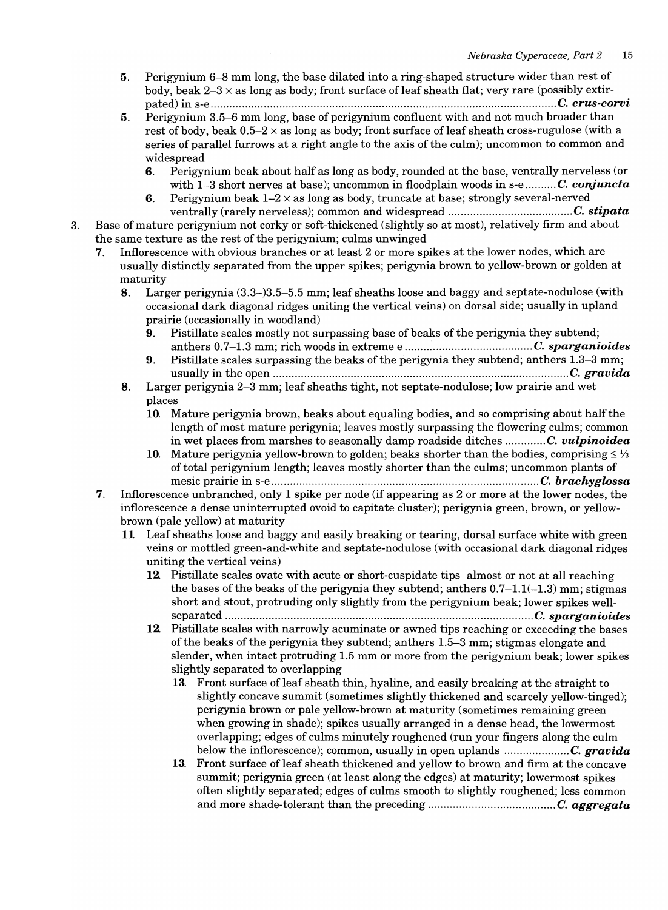- 5. Perigynium 6-8 mm long, the base dilated into a ring-shaped structure wider than rest of body, beak  $2-3 \times$  as long as body; front surface of leaf sheath flat; very rare (possibly extirpated) in s-e ............................................................................................................... C. *crus-corvi*
- 5. Perigynium 3.5–6 mm long, base of perigynium confluent with and not much broader than rest of body, beak  $0.5-2 \times$  as long as body; front surface of leaf sheath cross-rugulose (with a series of parallel furrows at a right angle to the axis of the culm); uncommon to common and widespread
	- 6. Perigynium beak about half as long as body, rounded at the base, ventrally nerveless (or with 1-3 short nerves at base); uncommon in floodplain woods in s-e .......... C. *conjuncta*
	- 6. Perigynium beak  $1-2 \times$  as long as body, truncate at base; strongly several-nerved ventrally (rarely nerveless); common and widespread ........................................ C. *stipata*
- 3. Base of mature perigynium not corky or soft-thickened (slightly so at most), relatively firm and about the same texture as the rest of the perigynium; culms unwinged
	- 7. Inflorescence with obvious branches or at least 2 or more spikes at the lower nodes, which are usually distinctly separated from the upper spikes; perigynia brown to yellow-brown or golden at maturity
		- 8. Larger perigynia (3.3-)3.5-5.5 mm; leaf sheaths loose and baggy and septate-nodulose (with occasional dark diagonal ridges uniting the vertical veins) on dorsal side; usually in upland prairie (occasionally in woodland)
			- 9. Pistillate scales mostly not surpassing base of beaks of the perigynia they subtend; anthers 0.7-1.3 mm; rich woods in extreme e *......................................... C. sparganioides*
			- 9. Pistillate scales surpassing the beaks of the perigynia they subtend; anthers 1.3-3 mm; usually in the open ............................................................................................... C. *gravida*
		- 8. Larger perigynia 2-3 mm; leaf sheaths tight, not septate-nodulose; low prairie and wet places
			- 10. Mature perigynia brown, beaks about equaling bodies, and so comprising about half the length of most mature perigynia; leaves mostly surpassing the flowering culms; common in wet places from marshes to seasonally damp roadside ditches ............. C. *vulpinoidea*
			- 10. Mature perigynia yellow-brown to golden; beaks shorter than the bodies, comprising  $\leq \frac{1}{3}$ of total perigynium length; leaves mostly shorter than the culms; uncommon plants of mesic prairie in s-e ...................................................................................... C. *brachyglossa*
	- 7. Inflorescence unbranched, only 1 spike per node (if appearing as 2 or more at the lower nodes, the inflorescence a dense uninterrupted ovoid to capitate cluster); perigynia green, brown, or yellowbrown (pale yellow) at maturity
		- **11** Leaf sheaths loose and baggy and easily breaking or tearing, dorsal surface white with green veins or mottled green-and-white and septate-nodulose (with occasional dark diagonal ridges uniting the vertical veins)
			- 12. Pistillate scales ovate with acute or short-cuspidate tips almost or not at all reaching the bases of the beaks of the perigynia they subtend; anthers  $0.7-1.1(-1.3)$  mm; stigmas short and stout, protruding only slightly from the perigynium beak; lower spikes wellseparated ................................................................................................... C. *sparganioides*
			- 12. Pistillate scales with narrowly acuminate or awned tips reaching or exceeding the bases of the beaks of the perigynia they subtend; anthers 1.5-3 mm; stigmas elongate and slender, when intact protruding 1.5 mm or more from the perigynium beak; lower spikes slightly separated to overlapping
				- 13. Front surface of leaf sheath thin, hyaline, and easily breaking at the straight to slightly concave summit (sometimes slightly thickened and scarcely yellow-tinged); perigynia brown or pale yellow-brown at maturity (sometimes remaining green when growing in shade); spikes usually arranged in a dense head, the lowermost overlapping; edges of culms minutely roughened (run your fingers along the culm below the inflorescence); common, usually in open uplands *..................... C. gravida*
				- 13. Front surface of leaf sheath thickened and yellow to brown and firm at the concave summit; perigynia green (at least along the edges) at maturity; lowermost spikes often slightly separated; edges of culms smooth to slightly roughened; less common and more shade-tolerant than the preceding ......................................... C. *aggregata*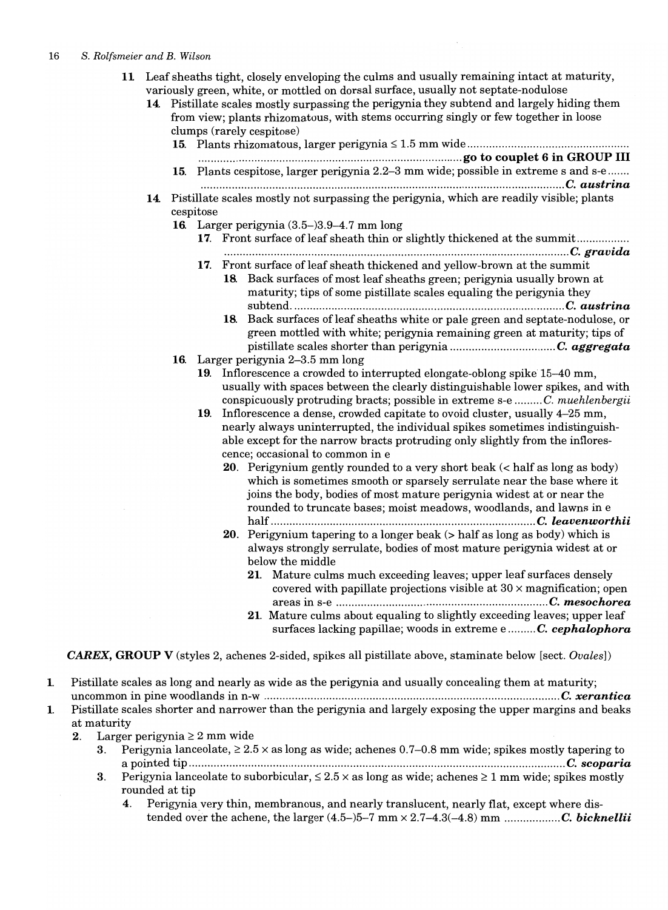- 11 Leaf sheaths tight, closely enveloping the culms and usually remaining intact at maturity, variously green, white, or mottled on dorsal surface, usually not septate-nodulose
	- 14. Pistillate scales mostly surpassing the perigynia they subtend and largely hiding them from view; plants rhizomatous, with stems occurring singly or few together in loose clumps (rarely cespitose)

|     | ciumps (rarely cespitose)                                                                             |                                                                                                                                              |  |  |
|-----|-------------------------------------------------------------------------------------------------------|----------------------------------------------------------------------------------------------------------------------------------------------|--|--|
|     |                                                                                                       |                                                                                                                                              |  |  |
|     | 15. Plants cespitose, larger perigynia 2.2-3 mm wide; possible in extreme s and s-e                   |                                                                                                                                              |  |  |
| 14. | Pistillate scales mostly not surpassing the perigynia, which are readily visible; plants<br>cespitose |                                                                                                                                              |  |  |
|     | 16. Larger perigynia $(3.5-)3.9-4.7$ mm long                                                          |                                                                                                                                              |  |  |
|     | 17. Front surface of leaf sheath thin or slightly thickened at the summit                             |                                                                                                                                              |  |  |
|     |                                                                                                       |                                                                                                                                              |  |  |
|     |                                                                                                       | 17. Front surface of leaf sheath thickened and yellow-brown at the summit                                                                    |  |  |
|     |                                                                                                       | 18. Back surfaces of most leaf sheaths green; perigynia usually brown at                                                                     |  |  |
|     |                                                                                                       | maturity; tips of some pistillate scales equaling the perigynia they                                                                         |  |  |
|     |                                                                                                       |                                                                                                                                              |  |  |
|     |                                                                                                       | 18. Back surfaces of leaf sheaths white or pale green and septate-nodulose, or                                                               |  |  |
|     |                                                                                                       | green mottled with white; perigynia remaining green at maturity; tips of                                                                     |  |  |
|     |                                                                                                       | 16. Larger perigynia 2-3.5 mm long                                                                                                           |  |  |
|     |                                                                                                       | 19. Inflorescence a crowded to interrupted elongate-oblong spike 15–40 mm,                                                                   |  |  |
|     |                                                                                                       | usually with spaces between the clearly distinguishable lower spikes, and with                                                               |  |  |
|     |                                                                                                       | conspicuously protruding bracts; possible in extreme s-e  C. muchlenbergii                                                                   |  |  |
|     |                                                                                                       | 19. Inflorescence a dense, crowded capitate to ovoid cluster, usually 4–25 mm,                                                               |  |  |
|     |                                                                                                       | nearly always uninterrupted, the individual spikes sometimes indistinguish-                                                                  |  |  |
|     | able except for the narrow bracts protruding only slightly from the inflores-                         |                                                                                                                                              |  |  |
|     |                                                                                                       | cence; occasional to common in e                                                                                                             |  |  |
|     |                                                                                                       | 20. Perigynium gently rounded to a very short beak (< half as long as body)                                                                  |  |  |
|     |                                                                                                       | which is sometimes smooth or sparsely serrulate near the base where it                                                                       |  |  |
|     |                                                                                                       | joins the body, bodies of most mature perigynia widest at or near the<br>rounded to truncate bases; moist meadows, woodlands, and lawns in e |  |  |
|     |                                                                                                       |                                                                                                                                              |  |  |
|     |                                                                                                       | 20. Perigynium tapering to a longer beak $($ half as long as body) which is                                                                  |  |  |
|     |                                                                                                       | always strongly serrulate, bodies of most mature perigynia widest at or                                                                      |  |  |
|     |                                                                                                       | below the middle                                                                                                                             |  |  |
|     |                                                                                                       | 21. Mature culms much exceeding leaves; upper leaf surfaces densely                                                                          |  |  |
|     |                                                                                                       | covered with papillate projections visible at $30 \times$ magnification; open                                                                |  |  |
|     |                                                                                                       |                                                                                                                                              |  |  |
|     |                                                                                                       | 21. Mature culms about equaling to slightly exceeding leaves; upper leaf                                                                     |  |  |
|     |                                                                                                       | surfaces lacking papillae; woods in extreme e  C. cephalophora                                                                               |  |  |

*CAREX, GROUP V* (styles 2, achenes 2-sided, spikes all pistillate above, staminate below [sect. *Ovales*])

- 1. Pistillate scales as long and nearly as wide as the perigynia and usually concealing them at maturity; uncommon in pine woodlands in n-w ............................................................................................... C. *xerantica*
- 1. Pistillate scales shorter and narrower than the perigynia and largely exposing the upper margins and beaks at maturity
	- 2. Larger perigynia  $\geq 2$  mm wide
		- 3. Perigynia lanceolate,  $\geq 2.5 \times$  as long as wide; achenes 0.7–0.8 mm wide; spikes mostly tapering to a pointed tip ......................................................................................................................... C. *scoparia*
		- 3. Perigynia lanceolate to suborbicular,  $\leq 2.5 \times$  as long as wide; achenes  $\geq 1$  mm wide; spikes mostly rounded at tip
			- 4. Perigynia very thin, membranous, and nearly translucent, nearly flat, except where distended over the achene, the larger (4.5-)5-7 mm x 2.7-4.3(-4.8) mm *.................. C. bicknellii*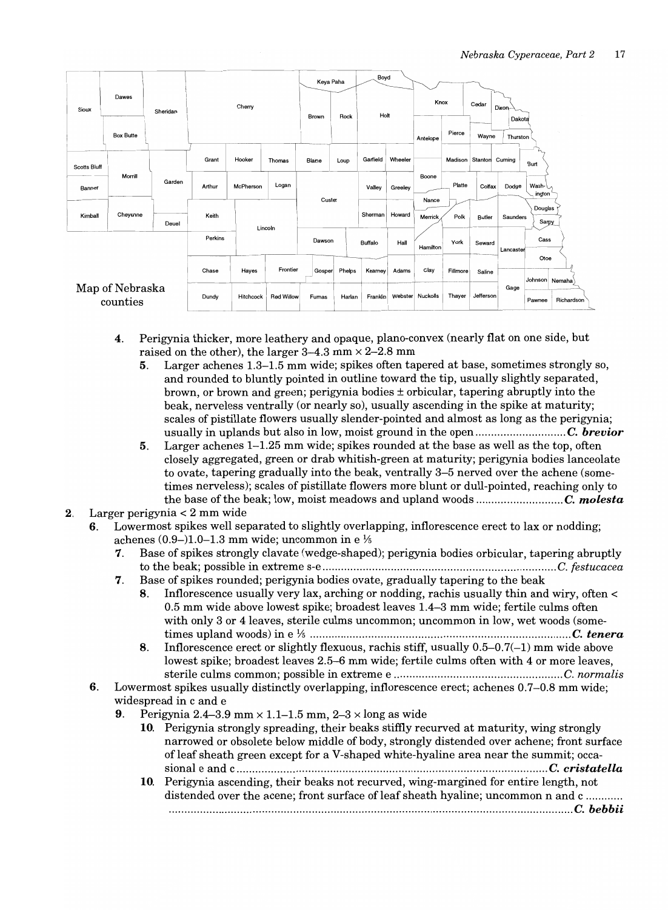

- 4. Perigynia thicker, more leathery and opaque, plano-convex (nearly flat on one side, but raised on the other), the larger  $3-4.3$  mm  $\times$  2-2.8 mm
	- 5. Larger achenes 1.3-1.5 mm wide; spikes often tapered at base, sometimes strongly so, and rounded to bluntly pointed in outline toward the tip, usually slightly separated, brown, or brown and green; perigynia bodies  $\pm$  orbicular, tapering abruptly into the beak, nerveless ventrally (or nearly so), usually ascending in the spike at maturity; scales of pistillate flowers usually slender-pointed and almost as long as the perigynia; usually in uplands but also in low, moist ground in the open ............................. C. *brevior*
	- 5. Larger achenes 1-1.25 mm wide; spikes rounded at the base as well as the top, often closely aggregated, green or drab whitish-green at maturity; perigynia bodies lanceolate to ovate, tapering gradually into the beak, ventrally 3-5 nerved over the achene (sometimes nerveless); scales of pistillate flowers more blunt or dull-pointed, reaching only to the base of the beak; low, moist meadows and upland woods ............................ C. *molesta*
- 2. Larger perigynia < 2 mm wide
	- 6. Lowermost spikes well separated to slightly overlapping, inflorescence erect to lax or nodding; achenes  $(0.9-)1.0-1.3$  mm wide; uncommon in e  $\frac{1}{2}$ 
		- 7. Base of spikes strongly clavate (wedge-shaped); perigynia bodies orbicular, tapering abruptly to the beak; possible in extreme s-e ........................................................................... C. *festucacea*
		- 7. Base of spikes rounded; perigynia bodies ovate, gradually tapering to the beak
			- 8. Inflorescence usually very lax, arching or nodding, rachis usually thin and wiry, often < 0.5 mm wide above lowest spike; broadest leaves 1.4-3 mm wide; fertile culms often with only 3 or 4 leaves, sterile culms uncommon; uncommon in low, wet woods (sometimes upland woods) in e Ys ......................................................*.............................. C. tenera*
			- 8. Inflorescence erect or slightly flexuous, rachis stiff, usually  $0.5-0.7(-1)$  mm wide above lowest spike; broadest leaves 2.5-6 mm wide; fertile culms often with 4 or more leaves, sterile culms common; possible in extreme e ...................................................... C. *normalis*
		- 6. Lowermost spikes usually distinctly overlapping, inflorescence erect; achenes 0.7-0.8 mm wide; widespread in c and e
			- 9. Perigynia 2.4-3.9 mm  $\times$  1.1-1.5 mm, 2-3  $\times$  long as wide
				- 10. Perigynia strongly spreading, their beaks stiffly recurved at maturity, wing strongly narrowed or obsolete below middle of body, strongly distended over achene; front surface of leaf sheath green except for a V-shaped white-hyaline area near the summit; occasional e and c .................................................................................................... C. *cristatella*
				- 10. Perigynia ascending, their beaks not recurved, wing-margined for entire length, not distended over the acene; front surface of leaf sheath hyaline; uncommon n and c ........... ............................................................................................................*...................... C. bebbii*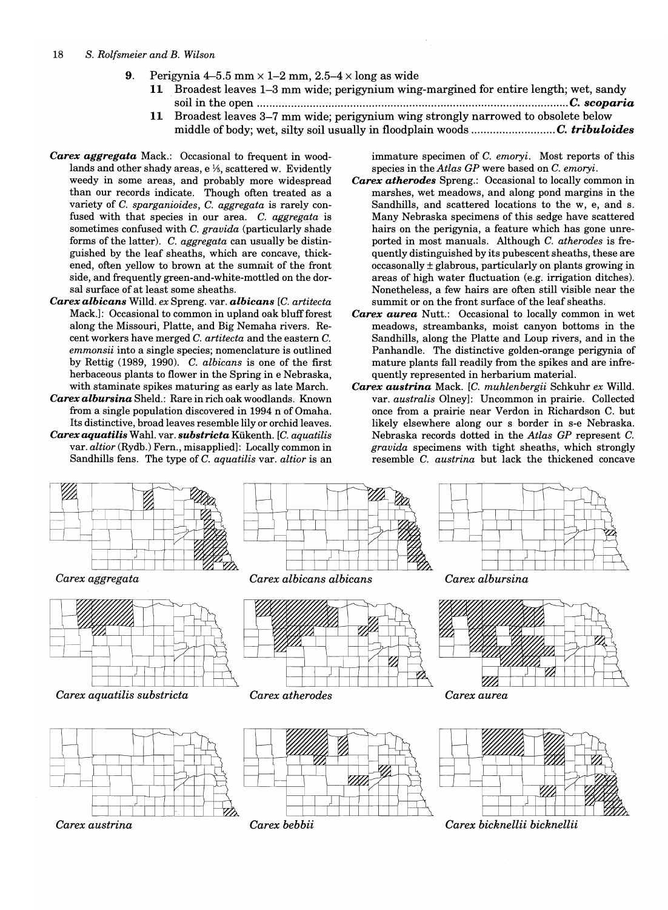- 9. Perigynia 4-5.5 mm  $\times$  1-2 mm, 2.5-4  $\times$  long as wide
	- 11 Broadest leaves 1-3 mm wide; perigynium wing-margined for entire length; wet, sandy soil in the open .................................................................................................... C. *scoparia*
	- **11** Broadest leaves 3-7 mm wide; perigynium wing strongly narrowed to obsolete below middle of body; wet, silty soil usually in floodplain woods ........................... C. *tribuloides*
- *Carex aggregata* Mack.: Occasional to frequent in woodlands and other shady areas,  $e\frac{1}{5}$ , scattered w. Evidently weedy in some areas, and probably more widespread than our records indicate. Though often treated as a variety of C. *sparganioides,* C. *aggregata* is rarely confused with that species in our area. C. *aggregata* is sometimes confused with C. *gravida* (particularly shade forms of the latter). C. *aggregata* can usually be distinguished by the leaf sheaths, which are concave, thickened, often yellow to brown at the summit of the front side, and frequently green-and-white-mottled on the dorsal surface of at least some sheaths.
- *Carex albicans* Willd. *ex* Spreng. var. *albicans [C. artitecta*  Mack.]: Occasional to common in upland oak bluff forest along the Missouri, Platte, and Big Nemaha rivers. Recent workers have merged C. *artitecta* and the eastern C. *emmonsii* into a single species; nomenclature is outlined by Rettig (1989, 1990). C. *albicans* is one of the first herbaceous plants to flower in the Spring in e Nebraska, with staminate spikes maturing as early as late March.
- *Carex albursina* Sheld.: Rare in rich oak woodlands. Known from a single population discovered in 1994 n of Omaha. Its distinctive, broad leaves resemble lily or orchid leaves. *Carex aquatilis* Wahl. var. *substricta* Kiikenth. [c. *aquatilis*  var. *altior* (Rydb.) Fern., misapplied): Locally common in Sandhills fens. The type of C. *aquatilis* var. *altior* is an

immature specimen of C. *emoryi.* Most reports of this species in the *Atlas GP* were based on C. *emoryi.* 

- *Carex atherodes* Spreng.: Occasional to locally common in marshes, wet meadows, and along pond margins in the Sandhills, and scattered locations to the w, e, and s. Many Nebraska specimens of this sedge have scattered hairs on the perigynia, a feature which has gone unreported in most manuals. Although C. *atherodes* is frequently distinguished by its pubescent sheaths, these are occasonally ± glabrous, particularly on plants growing in areas of high water fluctuation (e.g. irrigation ditches). Nonetheless, a few hairs are often still visible near the summit or on the front surface of the leaf sheaths.
- *Carex aurea* Nutt.: Occasional to locally common in wet meadows, streambanks, moist canyon bottoms in the Sandhills, along the Platte and Loup rivers, and in the Panhandle. The distinctive golden-orange perigynia of mature plants fall readily from the spikes and are infrequently represented in herbarium material.
- *Carex austrina* Mack. *[C. muhlenbergii* Schkuhr *ex* Willd. var. *australis* Olney]: Uncommon in prairie. Collected once from a prairie near Verdon in Richardson C. but likely elsewhere along our s border in s-e Nebraska. Nebraska records dotted in the *Atlas GP* represent C. *gravida* specimens with tight sheaths, which strongly resemble C. *austrina* but lack the thickened concave

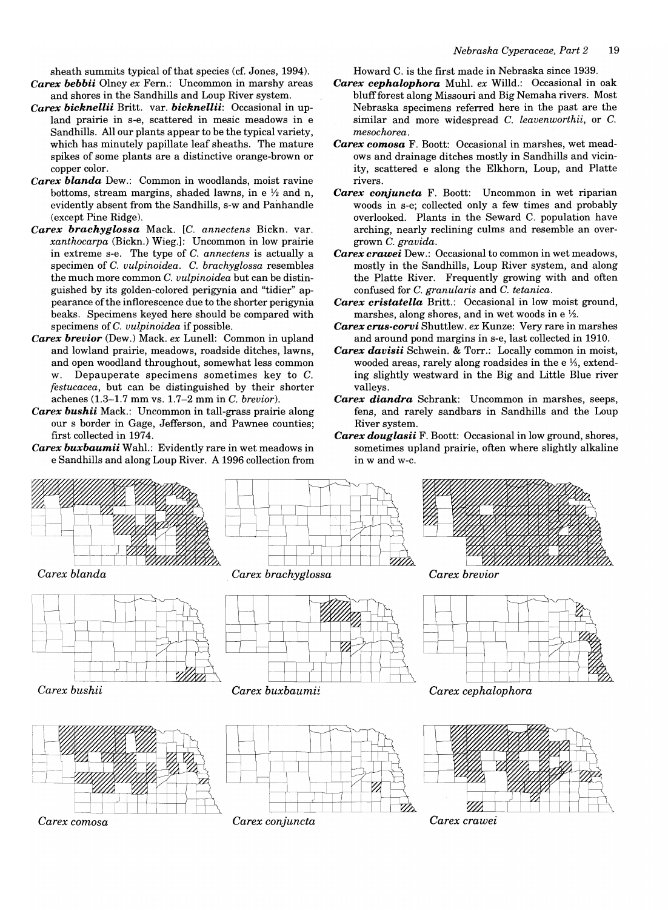sheath summits typical of that species (cf. Jones, 1994). *Carex bebbii* Olney *ex* Fern.: Uncommon in marshy areas and shores in the Sandhills and Loup River system.

- *Carex bicknellii* Britt. var. *bicknellii:* Occasional in upland prairie in s-e, scattered in mesic meadows in e Sandhills. All our plants appear to be the typical variety, which has minutely papillate leaf sheaths. The mature spikes of some plants are a distinctive orange-brown or copper color.
- *Carex blanda* Dew.: Common in woodlands, moist ravine bottoms, stream margins, shaded lawns, in e *Y2* and n, evidently absent from the Sandhills, s-w and Panhandle (except Pine Ridge).
- *Carex brachyglossa* Mack. *[C. annectens* Bickn. var. *xanthocarpa* (Bickn.) Wieg.J: Uncommon in low prairie in extreme s-e. The type of C. *annectens* is actually a specimen of C. *vulpinoidea.* C. *brachyglossa* resembles the much more common C. *vulpinoidea* but can be distinguished by its golden-colored perigynia and "tidier" appearance of the inflorescence due to the shorter perigynia beaks. Specimens keyed here should be compared with specimens of C. *vulpinoidea* if possible.
- *Carex brevior* (Dew.) Mack. *ex* Lunell: Common in upland and lowland prairie, meadows, roadside ditches, lawns, and open woodland throughout, somewhat less common w. Depauperate specimens sometimes key to C. *festucacea,* but can be distinguished by their shorter achenes (1.3-1.7 mm vs. 1.7-2 mm in C. *brevior).*
- *Carex bushii* Mack.: Uncommon in tall-grass prairie along our s border in Gage, Jefferson, and Pawnee counties; first collected in 1974.
- *Carex buxbaumii* Wahl.: Evidently rare in wet meadows in e Sandhills and along Loup River. A 1996 collection from

Howard C. is the first made in Nebraska since 1939.

- *Carex cephalophora* Muhl. *ex* Willd.: Occasional in oak bluff forest along Missouri and Big Nemaha rivers. Most Nebraska specimens referred here in the past are the similar and more widespread C. *leavenworthii,* or C. *mesochorea.*
- *Carex comosa* F. Boott: Occasional in marshes, wet meadows and drainage ditches mostly in Sandhills and vicinity, scattered e along the Elkhorn, Loup, and Platte rivers.
- *Carex conjuncta* F. Boott: Uncommon in wet riparian woods in s-e; collected only a few times and probably overlooked. Plants in the Seward C. population have arching, nearly reclining culms and resemble an overgrown C. *gravida.*
- *Carex crawei* Dew.: Occasional to common in wet meadows, mostly in the Sandhills, Loup River system, and along the Platte River. Frequently growing with and often confused for C. *granularis* and C. *tetanica.*
- *Carex cristatella* Britt.: Occasional in low moist ground, marshes, along shores, and in wet woods in e  $\frac{1}{2}$ .
- *Carex crus-corvi* Shuttlew. *ex* Kunze: Very rare in marshes and around pond margins in s-e, last collected in 1910.
- *Carex davisii* Schwein. & Torr.: Locally common in moist, wooded areas, rarely along roadsides in the e  $\frac{1}{5}$ , extending slightly westward in the Big and Little Blue river valleys.
- *Carex diandra* Schrank: Uncommon in marshes, seeps, fens, and rarely sandbars in Sandhills and the Loup River system.
- *Carex douglasii* F. Boott: Occasional in low ground, shores, sometimes upland prairie, often where slightly alkaline in wand w-c.

*Carex crawei* 



*Carex comosa Carex conjuncta*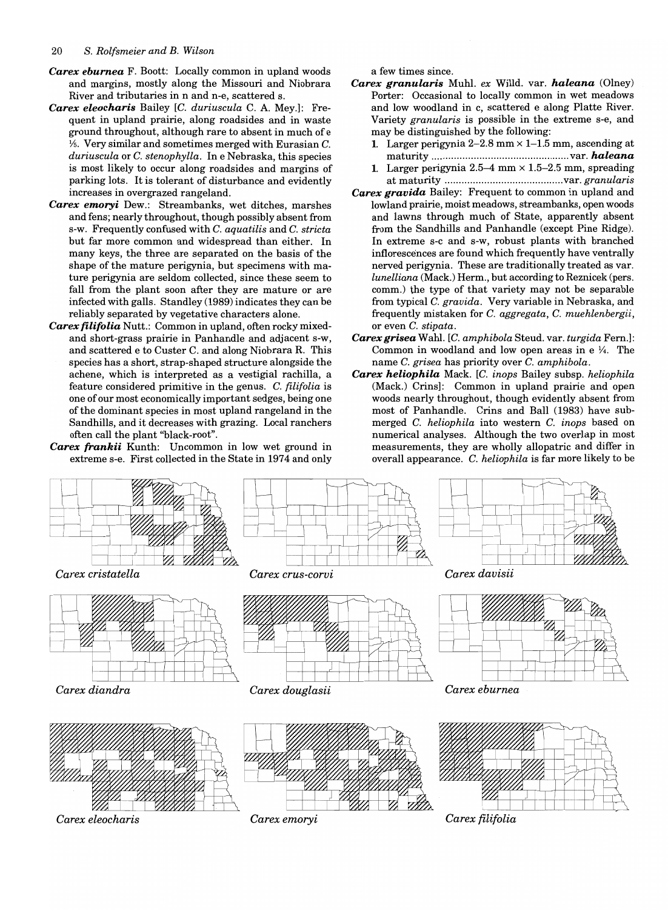- *Carex eburnea* F. Boott: Locally common in upland woods and margins, mostly along the Missouri and Niobrara River and tributaries in nand n-e, scattered s.
- *Carex eleocharis* Bailey *[C. duriuscula* C. A. Mey.): Frequent in upland prairie, along roadsides and in waste ground throughout, although rare to absent in much of e  $\frac{1}{5}$ . Very similar and sometimes merged with Eurasian C. *duriuscula* or C. *stenophylla.* In e Nebraska, this species is most likely to occur along roadsides and margins of parking lots. It is tolerant of disturbance and evidently increases in overgrazed rangeland.
- *Carex emoryi* Dew.: Streambanks, wet ditches, marshes and fens; nearly throughout, though possibly absent from s-w. Frequently confused with C. *aquatilis* and C. *stricta*  but far more common and widespread than either. In many keys, the three are separated on the basis of the shape of the mature perigynia, but specimens with mature perigynia are seldom collected, since these seem to fall from the plant soon after they are mature or are infected with galls. Standley (1989) indicates they can be reliably separated by vegetative characters alone.
- *Carex filifolia* Nutt.: Common in upland, often rocky mixedand short-grass prairie in Panhandle and adjacent s-w, and scattered e to Custer C. and along Niobrara R. This species has a short, strap-shaped structure alongside the achene, which is interpreted as a vestigial rachilla, a feature considered primitive in the genus. C. *filifolia* is one of our most economically important sedges, being one of the dominant species in most upland rangeland in the Sandhills, and it decreases with grazing. Local ranchers often call the plant "black-root".
- *Carex frankii* Kunth: Uncommon in low wet ground in extreme s-e. First collected in the State in 1974 and only

a few times since.

- *Carex granularis* Muhl. *ex* Willd. var. *haleana* (Olney) Porter: Occasional to locally common in wet meadows and low woodland in c, scattered e along Platte River. Variety *granularis* is possible in the extreme s-e, and may be distinguished by the following:
	- 1. Larger perigynia  $2-2.8$  mm  $\times$  1-1.5 mm, ascending at maturity ................................................. var. *haleana*
	- 1. Larger perigynia  $2.5-4$  mm  $\times$  1.5-2.5 mm, spreading at maturity .......................................... var. *granularis*
- *Carex gravida* Bailey: Frequent to common in upland and lowland prairie, moist meadows, streambanks, open woods and lawns through much of State, apparently absent from the Sandhills and Panhandle (except Pine Ridge). In extreme s-c and s-w, robust plants with branched inflorescences are found which frequently have ventrally nerved perigynia. These are traditionally treated as var. *lunelliana* (Mack.) Herm., but according to Reznicek (pers. comm.) the type of that variety may not be separable from typical C. *gravida.* Very variable in Nebraska, and frequently mistaken for C. *aggregata,* C. *muehlenbergii,*  or even C. *stipata.*
- *Carex grisea* Wahl. *[C. amphibola* Steud. var. *turgida* Fern.): Common in woodland and low open areas in e  $\frac{1}{4}$ . The name C. *grisea* has priority over C. *amphibola.*
- *Carex heliophila* Mack. [c. *inops* Bailey subsp. *heliophila*  (Mack.) Crins): Common in upland prairie and open woods nearly throughout, though evidently absent from most of Panhandle. Crins and Ball (1983) have submerged C. *heliophila* into western C. *inops* based on numerical analyses. Although the two overlap in most measurements, they are wholly allopatric and differ in overall appearance. C. *heliophila* is far more likely to be

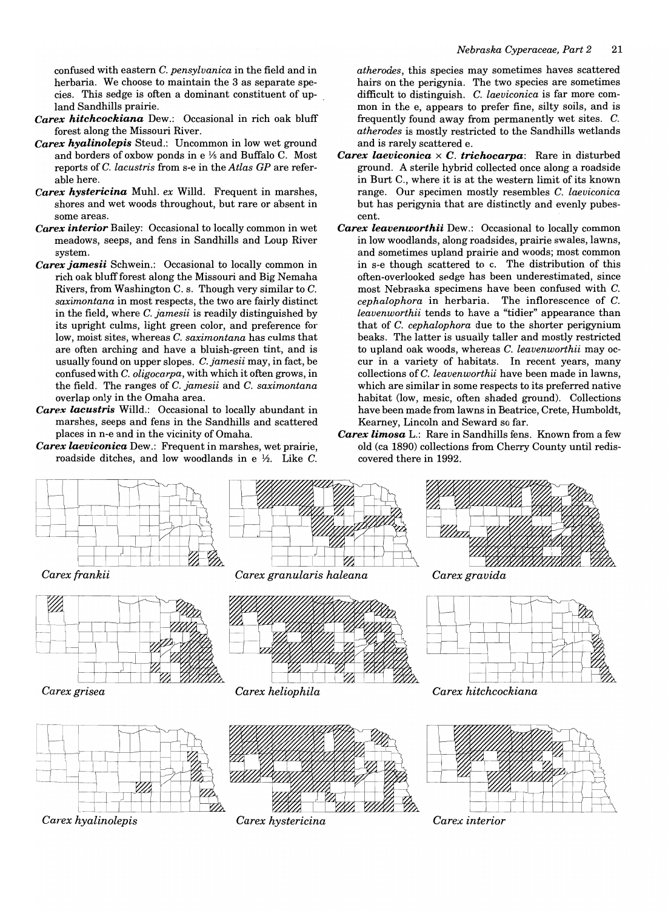confused with eastern C. *pensylvanica* in the field and in herbaria. We choose to maintain the 3 as separate species. This sedge is often a dominant constituent of upland Sandhills prairie.

- *Carex hitchcockiana* Dew.: Occasional in rich oak bluff forest along the Missouri River.
- *Carex hyalinolepis* Steud.: Uncommon in low wet ground and borders of oxbow ponds in  $e\frac{1}{2}$  and Buffalo C. Most reports of C. *lacustris* from s-e in the *Atlas GP* are referable here.
- *Carex hysteric ina* Muhl. *ex* Willd. Frequent in marshes, shores and wet woods throughout, but rare or absent in some areas.
- *Carex interior* Bailey: Occasional to locally common in wet meadows, seeps, and fens in Sandhills and Loup River system.
- *Carex jamesii* Schwein.: Occasional to locally common in rich oak bluff forest along the Missouri and Big Nemaha Rivers, from Washington C. s. Though very similar to C. *saximontana* in most respects, the two are fairly distinct in the field, where C. *jamesii* is readily distinguished by its upright culms, light green color, and preference for low, moist sites, whereas C. *saximontana* has culms that are often arching and have a bluish-green tint, and is usually found on upper slopes. C. *jamesii* may, in fact, be confused with C. *oligocarpa,* with which it often grows, in the field. The ranges of C. *jamesii* and C. *saximontana*  overlap only in the Omaha area.
- *Carex lacustris* Willd.: Occasional to locally abundant in marshes, seeps and fens in the Sandhills and scattered places in n-e and in the vicinity of Omaha.
- *Carex laeviconica* Dew.: Frequent in marshes, wet prairie, roadside ditches, and low woodlands in e  $\frac{1}{2}$ . Like C.

*atherodes,* this species may sometimes haves scattered hairs on the perigynia. The two species are sometimes difficult to distinguish. C. *laeviconica* is far more common in the e, appears to prefer fine, silty soils, and is frequently found away from permanently wet sites. C. *atherodes* is mostly restricted to the Sandhills wetlands and is rarely scattered e.

- *Carex laeviconica* x C. *trichocarpa:* Rare in disturbed ground. A sterile hybrid collected once along a roadside in Burt C., where it is at the western limit of its known range. Our specimen mostly resembles C. *laeviconica*  but has perigynia that are distinctly and evenly pubescent.
- *Carex leavenworthii* Dew.: Occasional to locally common in low woodlands, along roadsides, prairie swales, lawns, and sometimes upland prairie and woods; most common in s-e though scattered to c. The distribution of this often-overlooked sedge has been underestimated, since most Nebraska specimens have been confused with C. *cephalophora* in herbaria. The inflorescence of C. *leavenworthii* tends to have a "tidier" appearance than that of C. *cephalophora* due to the shorter perigynium beaks. The latter is usually taller and mostly restricted to upland oak woods, whereas C. *leavenworthii* mayoccur in a variety of habitats. In recent years, many collections of C. *leavenworthii* have been made in lawns, which are similar in some respects to its preferred native habitat (low, mesic, often shaded ground). Collections have been made from lawns in Beatrice, Crete, Humboldt, Kearney, Lincoln and Seward so far.
- *Carex limosa* L.: Rare in Sandhills fens. Known from a few old (ca 1890) collections from Cherry County until rediscovered there in 1992.

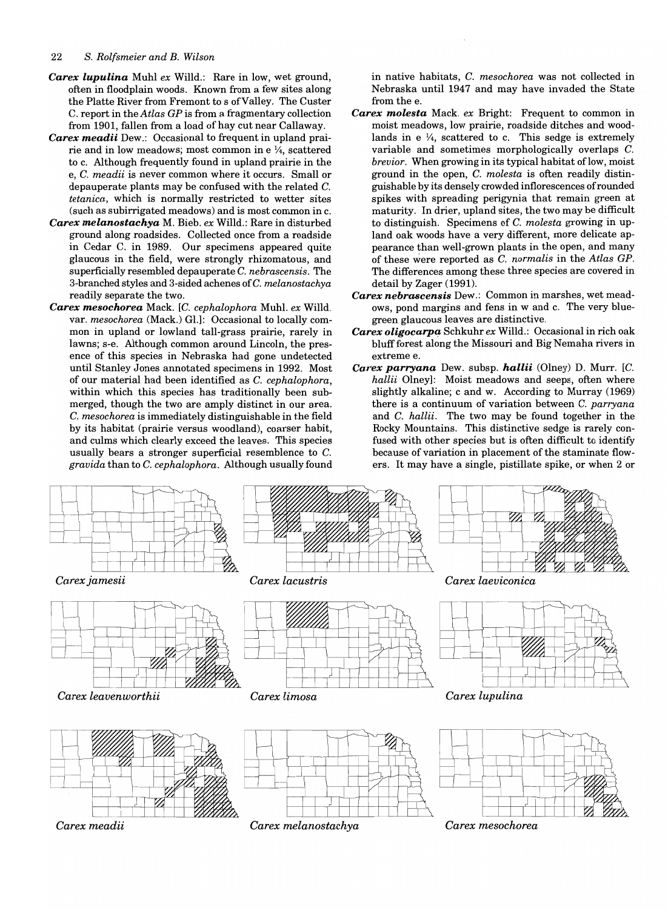- *Carex lupulina* Muhl *ex* Willd.: Rare in low, wet ground, often in floodplain woods. Known from a few sites along the Platte River from Fremont to s of Valley. The Custer C. report in the *Atlas* GP is from a fragmentary collection from 1901, fallen from a load of hay cut near Callaway.
- *Carex meadii* Dew.: Occasional to frequent in upland prairie and in low meadows; most common in e  $\frac{1}{4}$ , scattered to c. Although frequently found in upland prairie in the e, C. *meadii* is never common where it occurs. Small or depauperate plants may be confused with the related C. *tetanica,* which is normally restricted to wetter sites (such as subirrigated meadows) and is most common in c.
- *Carex melanostachya* M. Bieb. *ex* Willd.: Rare in disturbed ground along roadsides. Collected once from a roadside in Cedar C. in 1989. Our specimens appeared quite glaucous in the field, were strongly rhizomatous, and superficially resembled depauperate C. *nebrascensis.* The 3-branched styles and 3-sided achenes ofC. *melanostachya*  readily separate the two.
- *Carex mesochorea* Mack. *[C. cephalophora* Muhl. *ex* Willd. var. *mesochorea* (Mack.) Gl.]: Occasional to locally common in upland or lowland tall-grass prairie, rarely in lawns; s-e. Although common around Lincoln, the presence of this species in Nebraska had gone undetected until Stanley Jones annotated specimens in 1992. Most of our material had been identified as C. *cephalophora,*  within which this species has traditionally been submerged, though the two are amply distinct in our area. C. *mesochorea* is immediately distinguishable in the field by its habitat (prairie versus woodland), coarser habit, and culms which clearly exceed the leaves. This species usually bears a stronger superficial resemblence to C. *gravida* than to C. *cephalophora.* Although usually found

in native habitats, C. *mesochorea* was not collected in Nebraska until 1947 and may have invaded the State from the e.

- *Carex molesta* Mack. *ex* Bright: Frequent to common in moist meadows, low prairie, roadside ditches and woodlands in e  $\frac{1}{4}$ , scattered to c. This sedge is extremely variable and sometimes morphologically overlaps C. *brevior.* When growing in its typical habitat of low, moist ground in the open, C. *molesta* is often readily distinguishable by its densely crowded inflorescences of rounded spikes with spreading perigynia that remain green at maturity. In drier, upland sites, the two may be difficult to distinguish. Specimens of C. *molesta* growing in upland oak woods have a very different, more delicate appearance than well-grown plants in the open, and many of these were reported as C. *normalis* in the *Atlas* GP. The differences among these three species are covered in detail by Zager (1991).
- *Carex nebrascensis* Dew.: Common in marshes, wet meadows, pond margins and fens in wand c. The very bluegreen glaucous leaves are distinctive.
- Carex oligocarpa Schkuhr ex Willd.: Occasional in rich oak bluff forest along the Missouri and Big Nemaha rivers in extreme e.
- Carex parryana Dew. subsp. hallii (Olney) D. Murr. [C. *hallii* Olney]: Moist meadows and seeps, often where slightly alkaline; c and w. According to Murray (1969) there is a continuum of variation between C. *parryana*  and C. *hallii.* The two may be found together in the Rocky Mountains. This distinctive sedge is rarely confused with other species but is often difficult to identify because of variation in placement of the staminate flowers. It may have a single, pistillate spike, or when 2 or

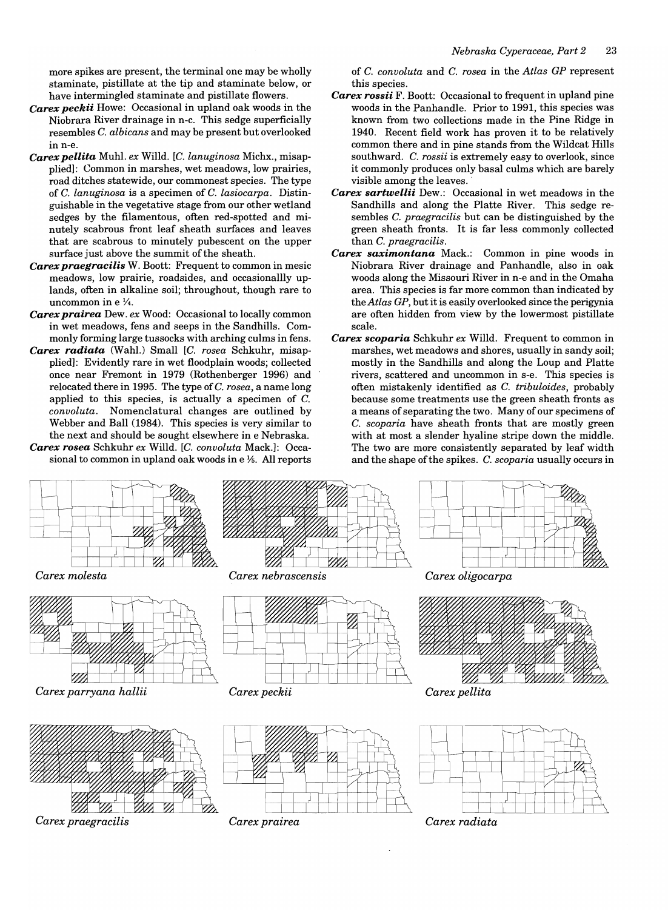more spikes are present, the terminal one may be wholly staminate, pistillate at the tip and staminate below, or have intermingled staminate and pistillate flowers.

- *Carex peckii* Howe: Occasional in upland oak woods in the Niobrara River drainage in n-c. This sedge superficially resembles C. *albicans* and may be present but overlooked in n-e.
- *Carex pellita* Muhl. *ex* Willd. [0. *lanuginosa* Michx., misapplied]: Common in marshes, wet meadows, low prairies, road ditches statewide, our commonest species. The type of C. *lanuginosa* is a specimen of C. *lasiocarpa.* Distinguishable in the vegetative stage from our other wetland sedges by the filamentous, often red-spotted and minutely scabrous front leaf sheath surfaces and leaves that are scabrous to minutely pubescent on the upper surface just above the summit of the sheath.
- *Carex praegracilis* W. Boott: Frequent to common in mesic meadows, low prairie, roadsides, and occasionallly uplands, often in alkaline soil; throughout, though rare to uncommon in  $e\frac{1}{4}$ .
- *Carex prairea* Dew. *ex* Wood: Occasional to locally common in wet meadows, fens and seeps in the Sandhills. Commonly forming large tussocks with arching culms in fens.
- *Carex radiata* (Wahl.) Small *[C. rosea* Schkuhr, misapplied]: Evidently rare in wet floodplain woods; collected once near Fremont in 1979 (Rothenberger 1996) and relocated there in 1995. The type of C. *rosea,* a name long applied to this species, is actually a specimen of  $C$ . *convoluta.* Nomenclatural changes are outlined by Webber and Ball (1984). This species is very similar to the next and should be sought elsewhere in e Nebraska.
- *Carex rosea* Schkuhr *ex* Willd. [0. *convoluta* Mack.]: Occasional to common in upland oak woods in  $e\frac{1}{6}$ . All reports

of 0. *convoluta* and C. *rosea* in the *Atlas GP* represent this species.

- *Carex rossii* F. Boott: Occasional to frequent in upland pine woods in the Panhandle. Prior to 1991, this species was known from two collections made in the Pine Ridge in 1940. Recent field work has proven it to be relatively common there and in pine stands from the Wildcat Hills southward. C. *rossii* is extremely easy to overlook, since it commonly produces only basal culms which are barely visible among the leaves ..
- *Carex sartwellii* Dew.: Occasional in wet meadows in the Sandhills and along the Platte River. This sedge resembles C. *praegracilis* but can be distinguished by the green sheath fronts. It is far less commonly collected than C. *praegracilis.*
- *Carex saximontana* Mack.: Common in pine woods in Niobrara River drainage and Panhandle, also in oak woods along the Missouri River in n-e and in the Omaha area. This species is far more common than indicated by the *Atlas GP,* but it is easily overlooked since the perigynia are often hidden from view by the lowermost pistillate scale.
- *Carex scoparia* Schkuhr *ex* Willd. Frequent to common in marshes, wet meadows and shores, usually in sandy soil; mostly in the Sandhills and along the Loup and Platte rivers, scattered and uncommon in s-e. This species is often mistakenly identified as C. *tribuloides,* probably because some treatments use the green sheath fronts as a means of separating the two. Many of our specimens of C. *scoparia* have sheath fronts that are mostly green with at most a slender hyaline stripe down the middle. The two are more consistently separated by leaf width and the shape of the spikes. C. *scoparia* usually occurs in

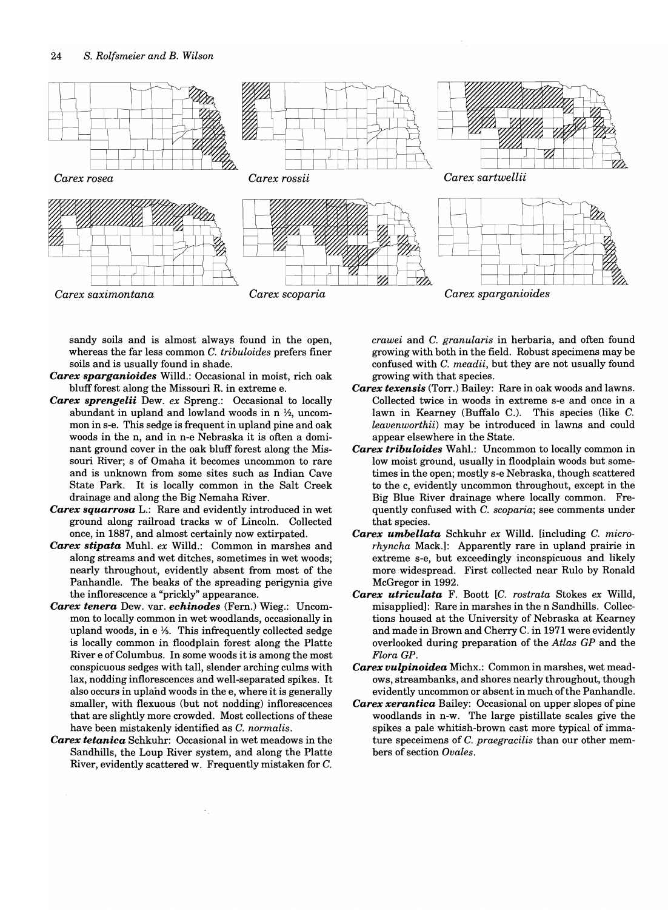

sandy soils and is almost always found in the open, whereas the far less common C. *tribuloides* prefers finer soils and is usually found in shade.

- *Carex sparganioides* Willd.: Occasional in moist, rich oak bluff forest along the Missouri R. in extreme e.
- *Carex sprengelii* Dew. *ex* Spreng.: Occasional to locally abundant in upland and lowland woods in n *Y2,* uncommon in s-e. This sedge is frequent in upland pine and oak woods in the n, and in n-e Nebraska it is often a dominant ground cover in the oak bluff forest along the Missouri River; s of Omaha it becomes uncommon to rare and is unknown from some sites such as Indian Cave State Park. It is locally common in the Salt Creek drainage and along the Big Nemaha River.
- *Carex squarrosa* L.: Rare and evidently introduced in wet ground along railroad tracks w of Lincoln. Collected once, in 1887, and almost certainly now extirpated.
- *Carex stipata* Muhl. *ex* Willd.: Common in marshes and along streams and wet ditches, sometimes in wet woods; nearly throughout, evidently absent from most of the Panhandle. The beaks of the spreading perigynia give the inflorescence a "prickly" appearance.
- *Carex tenera* Dew. var. *echinodes* (Fern.) Wieg.: Uncommon to locally common in wet woodlands, occasionally in upland woods, in  $e^{i\frac{\pi}{3}}$ . This infrequently collected sedge is locally common in floodplain forest along the Platte River e of Columbus. In some woods it is among the most conspicuous sedges with tall, slender arching culms with lax, nodding inflorescences and well-separated spikes. It also occurs in upland woods in the e, where it is generally smaller, with flexuous (but not nodding) inflorescences that are slightly more crowded. Most collections of these have been mistakenly identified as C. *normalis.*
- *Carex tetanica* Schkuhr: Occasional in wet meadows in the Sandhills, the Loup River system, and along the Platte River, evidently scattered w. Frequently mistaken for C.

*crawei* and C. *granularis* in herbaria, and often found growing with both in the field. Robust specimens may be confused with C. *meadii,* but they are not usually found growing with that species.

- *Carex texensis* (Torr.) Bailey: Rare in oak woods and lawns. Collected twice in woods in extreme s-e and once in a lawn in Kearney (Buffalo C.). This species (like C. *leavenworthii)* may be introduced in lawns and could appear elsewhere in the State.
- *Carex tribuloides* Wahl.: Uncommon to locally common in low moist ground, usually in floodplain woods but sometimes in the open; mostly s-e Nebraska, though scattered to the c, evidently uncommon throughout, except in the Big Blue River drainage where locally common. Frequently confused with C. *scoparia;* see comments under that species.
- *Carex umbellata* Schkuhr *ex* Willd. [including C. *microrhyncha* Mack.): Apparently rare in upland prairie in extreme s-e, but exceedingly inconspicuous and likely more widespread. First collected near Rulo by Ronald McGregor in 1992.
- *Carex utriculata* F. Boott *[C. rostrata* Stokes *ex* Willd, misapplied): Rare in marshes in the n Sandhills. Collections housed at the University of Nebraska at Kearney and made in Brown and Cherry C. in 1971 were evidently overlooked during preparation of the *Atlas GP* and the *Flora GP.*
- *Carex vulpinoidea* Michx.: Common in marshes, wet meadows, streambanks, and shores nearly throughout, though evidently uncommon or absent in much of the Panhandle.
- *Carex xerantica* Bailey: Occasional on upper slopes of pine woodlands in n-w. The large pistillate scales give the spikes a pale whitish-brown cast more typical of immature speceimens of C. *praegracilis* than our other members of section *Ovales.*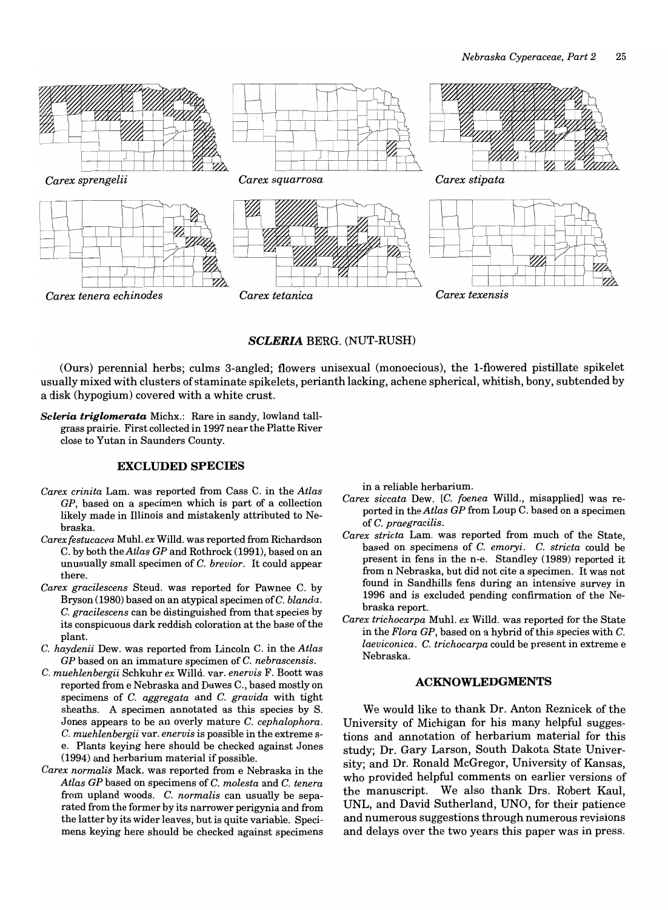

### *SCLERIA* BERG. (NUT-RUSH)

(Ours) perennial herbs; culms 3-angled; flowers unisexual (monoecious), the I-flowered pistillate spikelet usually mixed with clusters of staminate spikelets, perianth lacking, achene spherical, whitish, bony, subtended by a disk (hypogium) covered with a white crust.

*Seleria triglomerata* Michx.: Rare in sandy, lowland tallgrass prairie. First collected in 1997 near the Platte River close to Yutan in Saunders County.

### **EXCLUDED SPECIES**

- *Carex crinita* Lam. was reported from Cass C. in the *Atlas GP*, based on a specimen which is part of a collection likely made in Illinois and mistakenly attributed to Nebraska.
- *Carex festucacea* Muhl. *ex* Willd. was reported from Richardson C. by both the *Atlas GP* and Rothrock (1991), based on an unusually small specimen of C. *brevior.* It could appear there.
- *Carex gracilescens* Steud. was reported for Pawnee C. by Bryson (1980) based on an atypical specimen ofC. *blanda.*  C. *gracilescens* can be distinguished from that species by its conspicuous dark reddish coloration at the base of the plant.
- C. *haydenii* Dew. was reported from Lincoln C. in the *Atlas GP* based on an immature specimen of C. *nebrascensis.*
- C. *muehlenbergii* Schkuhr *ex* Willd. var. *enervis* F. Boott was reported from e Nebraska and Dawes C., based mostly on specimens of C. *aggregata* and C. *gravida* with tight sheaths. A specimen annotated as this species by S. Jones appears to be an overly mature C. *cephalophora.*  C. *muehlenbergii* var. *enervis* is possible in the extreme se. Plants keying here should be checked against Jones (1994) and herbarium material if possible.
- *Carex normal is* Mack. was reported from e Nebraska in the *Atlas GP* based on specimens of C. *molesta* and C. *tenera*  from upland woods. C. *normalis* can usually be separated from the former by its narrower perigynia and from the latter by its wider leaves, but is quite variable. Specimens keying here should be checked against specimens

in a reliable herbarium.

- *Carex siccata* Dew. [c. *foenea* Willd., misapplied] was reported in the *Atlas GP* from Loup C. based on a specimen of C. *praegracilis.*
- *Carex stricta* Lam. was reported from much of the State, based on specimens of C. *emoryi.* C. *stricta* could be present in fens in the n-e. Standley (1989) reported it from n Nebraska, but did not cite a specimen. It was not found in Sandhills fens during an intensive survey in 1996 and is excluded pending confirmation of the Nebraska report.
- *Carex trichocarpa* Muhl. *ex* Willd. was reported for the State in the *Flora GP,* based on a hybrid of this species with C. *laeviconica.* C. *trichocarpa* could be present in extreme e Nebraska.

### **ACKNOWLEDGMENTS**

We would like to thank Dr. Anton Reznicek of the University of Michigan for his many helpful suggestions and annotation of herbarium material for this study; Dr. Gary Larson, South Dakota State University; and Dr. Ronald McGregor, University of Kansas, who provided helpful comments on earlier versions of the manuscript. We also thank Drs. Robert Kaul, UNL, and David Sutherland, UNO, for their patience and numerous suggestions through numerous revisions and delays over the two years this paper was in press.